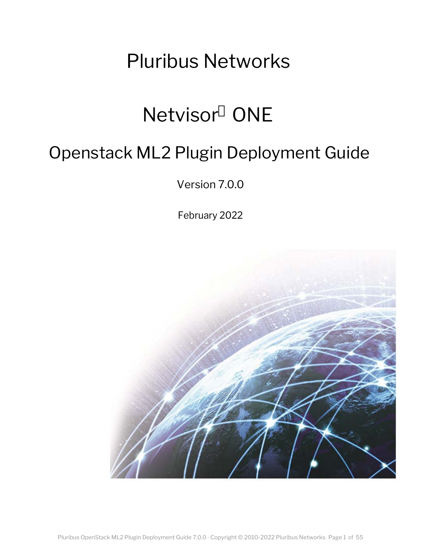# Pluribus Networks

# Netvisor ONE

# Openstack ML2 Plugin Deployment Guide

Version 7.0.0

February 2022

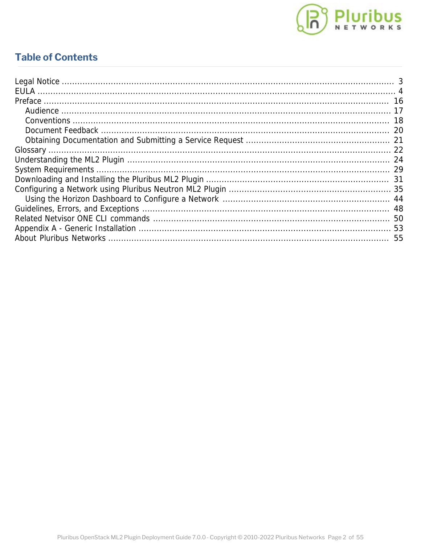

### **Table of Contents**

| 53 |
|----|
| 55 |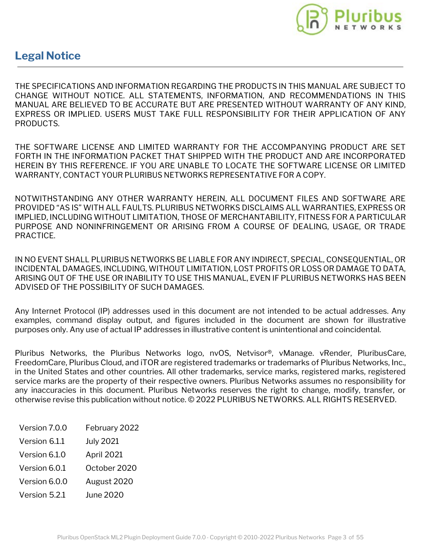

### <span id="page-2-0"></span>**Legal Notice**

THE SPECIFICATIONS AND INFORMATION REGARDING THE PRODUCTS IN THIS MANUAL ARE SUBJECT TO CHANGE WITHOUT NOTICE. ALL STATEMENTS, INFORMATION, AND RECOMMENDATIONS IN THIS MANUAL ARE BELIEVED TO BE ACCURATE BUT ARE PRESENTED WITHOUT WARRANTY OF ANY KIND, EXPRESS OR IMPLIED. USERS MUST TAKE FULL RESPONSIBILITY FOR THEIR APPLICATION OF ANY PRODUCTS.

THE SOFTWARE LICENSE AND LIMITED WARRANTY FOR THE ACCOMPANYING PRODUCT ARE SET FORTH IN THE INFORMATION PACKET THAT SHIPPED WITH THE PRODUCT AND ARE INCORPORATED HEREIN BY THIS REFERENCE. IF YOU ARE UNABLE TO LOCATE THE SOFTWARE LICENSE OR LIMITED WARRANTY, CONTACT YOUR PLURIBUS NETWORKS REPRESENTATIVE FOR A COPY.

NOTWITHSTANDING ANY OTHER WARRANTY HEREIN, ALL DOCUMENT FILES AND SOFTWARE ARE PROVIDED "AS IS" WITH ALL FAULTS. PLURIBUS NETWORKS DISCLAIMS ALL WARRANTIES, EXPRESS OR IMPLIED, INCLUDING WITHOUT LIMITATION, THOSE OF MERCHANTABILITY, FITNESS FOR A PARTICULAR PURPOSE AND NONINFRINGEMENT OR ARISING FROM A COURSE OF DEALING, USAGE, OR TRADE PRACTICE.

IN NO EVENT SHALL PLURIBUS NETWORKS BE LIABLE FOR ANY INDIRECT, SPECIAL, CONSEQUENTIAL, OR INCIDENTAL DAMAGES, INCLUDING, WITHOUT LIMITATION, LOST PROFITS OR LOSS OR DAMAGE TO DATA, ARISING OUT OF THE USE OR INABILITY TO USE THIS MANUAL, EVEN IF PLURIBUS NETWORKS HAS BEEN ADVISED OF THE POSSIBILITY OF SUCH DAMAGES.

Any Internet Protocol (IP) addresses used in this document are not intended to be actual addresses. Any examples, command display output, and figures included in the document are shown for illustrative purposes only. Any use of actual IP addresses in illustrative content is unintentional and coincidental.

Pluribus Networks, the Pluribus Networks logo, nvOS, Netvisor®, vManage. vRender, PluribusCare, FreedomCare, Pluribus Cloud, and iTOR are registered trademarks or trademarks of Pluribus Networks, Inc., in the United States and other countries. All other trademarks, service marks, registered marks, registered service marks are the property of their respective owners. Pluribus Networks assumes no responsibility for any inaccuracies in this document. Pluribus Networks reserves the right to change, modify, transfer, or otherwise revise this publication without notice. © 2022 PLURIBUS NETWORKS. ALL RIGHTS RESERVED.

- Version 7.0.0 February 2022
- Version 6.1.1 July 2021
- Version 6.1.0 April 2021
- Version 6.0.1 October 2020
- Version 6.0.0 August 2020
- Version 5.2.1 June 2020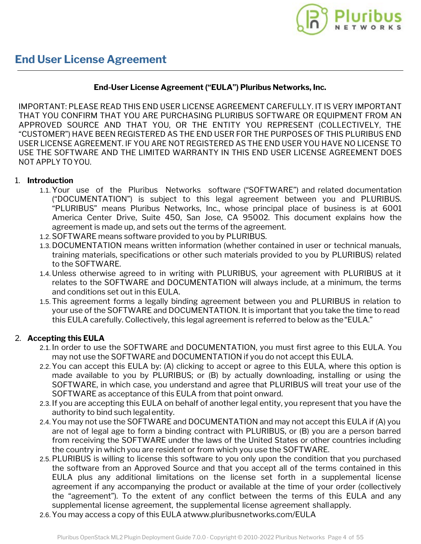

#### **End-User License Agreement ("EULA") Pluribus Networks, Inc.**

<span id="page-3-0"></span>IMPORTANT: PLEASE READ THIS END USER LICENSE AGREEMENT CAREFULLY. IT IS VERY IMPORTANT THAT YOU CONFIRM THAT YOU ARE PURCHASING PLURIBUS SOFTWARE OR EQUIPMENT FROM AN APPROVED SOURCE AND THAT YOU, OR THE ENTITY YOU REPRESENT (COLLECTIVELY, THE "CUSTOMER") HAVE BEEN REGISTERED AS THE END USER FOR THE PURPOSES OF THIS PLURIBUS END USER LICENSE AGREEMENT. IF YOU ARE NOT REGISTERED AS THE END USER YOU HAVE NO LICENSE TO USE THE SOFTWARE AND THE LIMITED WARRANTY IN THIS END USER LICENSE AGREEMENT DOES NOT APPLY TOYOU.

#### 1. **Introduction**

- 1.1.Your use of the Pluribus Networks software ("SOFTWARE") and related documentation ("DOCUMENTATION") is subject to this legal agreement between you and PLURIBUS. "PLURIBUS" means Pluribus Networks, Inc., whose principal place of business is at 6001 America Center Drive, Suite 450, San Jose, CA 95002. This document explains how the agreement is made up, and sets out the terms of the agreement.
- 1.2.SOFTWARE means software provided to you by PLURIBUS.
- 1.3. DOCUMENTATION means written information (whether contained in user or technical manuals, training materials, specifications or other such materials provided to you by PLURIBUS) related to the SOFTWARE.
- 1.4. Unless otherwise agreed to in writing with PLURIBUS, your agreement with PLURIBUS at it relates to the SOFTWARE and DOCUMENTATION will always include, at a minimum, the terms and conditions set out in this EULA.
- 1.5.This agreement forms a legally binding agreement between you and PLURIBUS in relation to your use of the SOFTWARE and DOCUMENTATION. It is important that you take the time to read this EULA carefully. Collectively, this legal agreement is referred to below as the"EULA."

#### 2. **Accepting this EULA**

- 2.1. In order to use the SOFTWARE and DOCUMENTATION, you must first agree to this EULA. You may not use the SOFTWARE and DOCUMENTATION if you do not accept this EULA.
- 2.2.You can accept this EULA by: (A) clicking to accept or agree to this EULA, where this option is made available to you by PLURIBUS; or (B) by actually downloading, installing or using the SOFTWARE, in which case, you understand and agree that PLURIBUS will treat your use of the SOFTWARE as acceptance of this EULA from that point onward.
- 2.3. If you are accepting this EULA on behalf of another legal entity, you represent that you have the authority to bind such legalentity.
- 2.4.You may not use the SOFTWARE and DOCUMENTATION and may not accept this EULA if (A) you are not of legal age to form a binding contract with PLURIBUS, or (B) you are a person barred from receiving the SOFTWARE under the laws of the United States or other countries including the country in which you are resident or from which you use the SOFTWARE.
- 2.5.PLURIBUS is willing to license this software to you only upon the condition that you purchased the software from an Approved Source and that you accept all of the terms contained in this EULA plus any additional limitations on the license set forth in a supplemental license agreement if any accompanying the product or available at the time of your order (collectively the "agreement"). To the extent of any conflict between the terms of this EULA and any supplemental license agreement, the supplemental license agreement shallapply.
- 2.6.You may access a copy of this EULA at[www.pluribusnetworks.com/EULA](http://www.pluribusnetworks.com/EULA)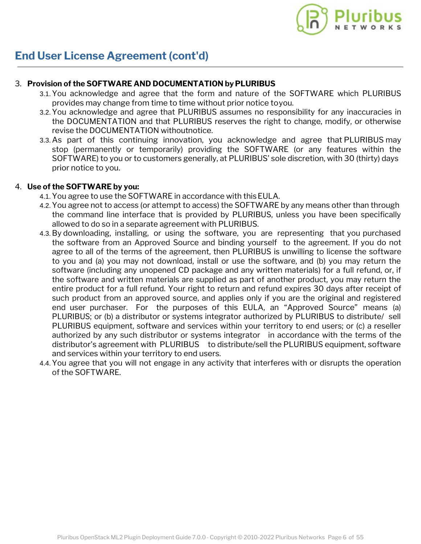#### 3. **Provision of the SOFTWARE AND DOCUMENTATION by PLURIBUS**

- 3.1.You acknowledge and agree that the form and nature of the SOFTWARE which PLURIBUS provides may change from time to time without prior notice toyou.
- 3.2.You acknowledge and agree that PLURIBUS assumes no responsibility for any inaccuracies in the DOCUMENTATION and that PLURIBUS reserves the right to change, modify, or otherwise revise the DOCUMENTATION withoutnotice.
- 3.3. As part of this continuing innovation, you acknowledge and agree that PLURIBUS may stop (permanently or temporarily) providing the SOFTWARE (or any features within the SOFTWARE) to you or to customers generally, at PLURIBUS' sole discretion, with 30 (thirty) days prior notice to you.

#### 4. **Use of the SOFTWARE by you:**

- 4.1.You agree to use the SOFTWARE in accordance with thisEULA.
- 4.2.You agree not to access (or attempt to access) the SOFTWARE by any means other than through the command line interface that is provided by PLURIBUS, unless you have been specifically allowed to do so in a separate agreement with PLURIBUS.
- 4.3.By downloading, installing, or using the software, you are representing that you purchased the software from an Approved Source and binding yourself to the agreement. If you do not agree to all of the terms of the agreement, then PLURIBUS is unwilling to license the software to you and (a) you may not download, install or use the software, and (b) you may return the software (including any unopened CD package and any written materials) for a full refund, or, if the software and written materials are supplied as part of another product, you may return the entire product for a full refund. Your right to return and refund expires 30 days after receipt of such product from an approved source, and applies only if you are the original and registered end user purchaser. For the purposes of this EULA, an "Approved Source" means (a) PLURIBUS; or (b) a distributor or systems integrator authorized by PLURIBUS to distribute/ sell PLURIBUS equipment, software and services within your territory to end users; or (c) a reseller authorized by any such distributor or systems integrator in accordance with the terms of the distributor's agreement with PLURIBUS to distribute/sell the PLURIBUS equipment, software and services within your territory to end users.
- 4.4.You agree that you will not engage in any activity that interferes with or disrupts the operation of the SOFTWARE.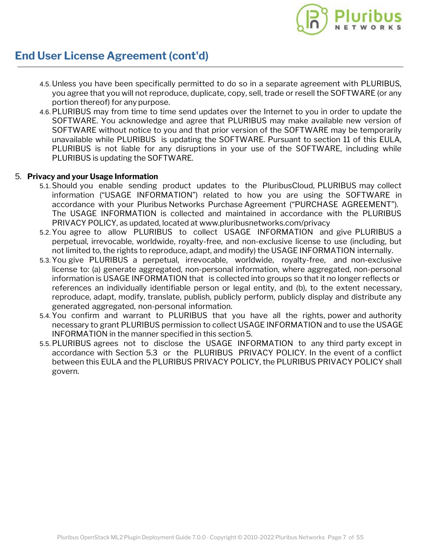

- 4.5. Unless you have been specifically permitted to do so in a separate agreement with PLURIBUS, you agree that you will not reproduce, duplicate, copy, sell, trade or resell the SOFTWARE (or any portion thereof) for any purpose.
- 4.6.PLURIBUS may from time to time send updates over the Internet to you in order to update the SOFTWARE. You acknowledge and agree that PLURIBUS may make available new version of SOFTWARE without notice to you and that prior version of the SOFTWARE may be temporarily unavailable while PLURIBUS is updating the SOFTWARE. Pursuant to section 11 of this EULA, PLURIBUS is not liable for any disruptions in your use of the SOFTWARE, including while PLURIBUS is updating the SOFTWARE.

#### 5. **Privacy and your Usage Information**

- 5.1.Should you enable sending product updates to the PluribusCloud, PLURIBUS may collect information ("USAGE INFORMATION") related to how you are using the SOFTWARE in accordance with your Pluribus Networks Purchase Agreement ("PURCHASE AGREEMENT"). The USAGE INFORMATION is collected and maintained in accordance with the PLURIBUS PRIVACY POLICY, as updated, located at [www.pluribusnetworks.com/privacy](http://www.pluribusnetworks.com/privacy)
- 5.2.You agree to allow PLURIBUS to collect USAGE INFORMATION and give PLURIBUS a perpetual, irrevocable, worldwide, royalty-free, and non-exclusive license to use (including, but not limited to, the rights to reproduce, adapt, and modify) the USAGE INFORMATION internally.
- 5.3.You give PLURIBUS a perpetual, irrevocable, worldwide, royalty-free, and non-exclusive license to: (a) generate aggregated, non-personal information, where aggregated, non-personal information is USAGE INFORMATION that is collected into groups so that it no longer reflects or references an individually identifiable person or legal entity, and (b), to the extent necessary, reproduce, adapt, modify, translate, publish, publicly perform, publicly display and distribute any generated aggregated, non-personal information.
- 5.4.You confirm and warrant to PLURIBUS that you have all the rights, power and authority necessary to grant PLURIBUS permission to collect USAGE INFORMATION and to use the USAGE INFORMATION in the manner specified in this section5.
- 5.5.PLURIBUS agrees not to disclose the USAGE INFORMATION to any third party except in accordance with Section 5.3 or the PLURIBUS PRIVACY POLICY. In the event of a conflict between this EULA and the PLURIBUS PRIVACY POLICY, the PLURIBUS PRIVACY POLICY shall govern.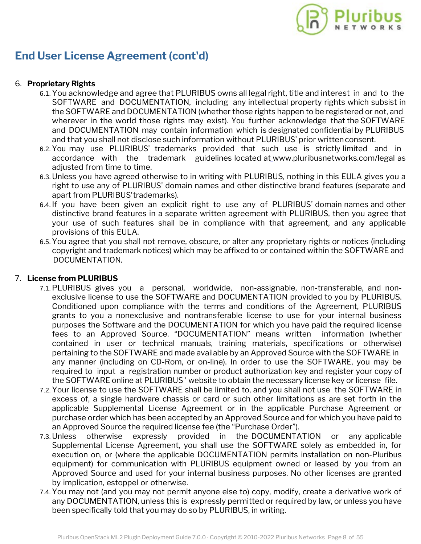

#### 6. **Proprietary Rights**

- 6.1.You acknowledge and agree that PLURIBUS owns all legal right, title and interest in and to the SOFTWARE and DOCUMENTATION, including any intellectual property rights which subsist in the SOFTWARE and DOCUMENTATION (whether those rights happen to be registered or not, and wherever in the world those rights may exist). You further acknowledge that the SOFTWARE and DOCUMENTATION may contain information which is designated confidential by PLURIBUS and that you shall not disclose such information without PLURIBUS' prior writtenconsent.
- 6.2.You may use PLURIBUS' trademarks provided that such use is strictly limited and in accordance with the trademark guidelines located at [www.pluribusnetworks.com/legal](http://www.pluribusnetworks.com/legal) as adjusted from time to time.
- 6.3. Unless you have agreed otherwise to in writing with PLURIBUS, nothing in this EULA gives you a right to use any of PLURIBUS' domain names and other distinctive brand features (separate and apart from PLURIBUS'trademarks).
- 6.4. If you have been given an explicit right to use any of PLURIBUS' domain names and other distinctive brand features in a separate written agreement with PLURIBUS, then you agree that your use of such features shall be in compliance with that agreement, and any applicable provisions of this EULA.
- 6.5.You agree that you shall not remove, obscure, or alter any proprietary rights or notices (including copyright and trademark notices) which may be affixed to or contained within the SOFTWARE and DOCUMENTATION.

#### 7. **License from PLURIBUS**

- 7.1.PLURIBUS gives you a personal, worldwide, non-assignable, non-transferable, and nonexclusive license to use the SOFTWARE and DOCUMENTATION provided to you by PLURIBUS. Conditioned upon compliance with the terms and conditions of the Agreement, PLURIBUS grants to you a nonexclusive and nontransferable license to use for your internal business purposes the Software and the DOCUMENTATION for which you have paid the required license fees to an Approved Source. "DOCUMENTATION" means written information (whether contained in user or technical manuals, training materials, specifications or otherwise) pertaining to the SOFTWARE and made available by an Approved Source with the SOFTWARE in any manner (including on CD-Rom, or on-line). In order to use the SOFTWARE, you may be required to input a registration number or product authorization key and register your copy of the SOFTWARE online at PLURIBUS ' website to obtain the necessary license key or license file.
- 7.2.Your license to use the SOFTWARE shall be limited to, and you shall not use the SOFTWARE in excess of, a single hardware chassis or card or such other limitations as are set forth in the applicable Supplemental License Agreement or in the applicable Purchase Agreement or purchase order which has been accepted by an Approved Source and for which you have paid to an Approved Source the required license fee (the "Purchase Order").
- 7.3. Unless otherwise expressly provided in the DOCUMENTATION or any applicable Supplemental License Agreement, you shall use the SOFTWARE solely as embedded in, for execution on, or (where the applicable DOCUMENTATION permits installation on non-Pluribus equipment) for communication with PLURIBUS equipment owned or leased by you from an Approved Source and used for your internal business purposes. No other licenses are granted by implication, estoppel or otherwise.
- 7.4.You may not (and you may not permit anyone else to) copy, modify, create a derivative work of any DOCUMENTATION, unless this is expressly permitted or required by law, or unless you have been specifically told that you may do so by PLURIBUS, in writing.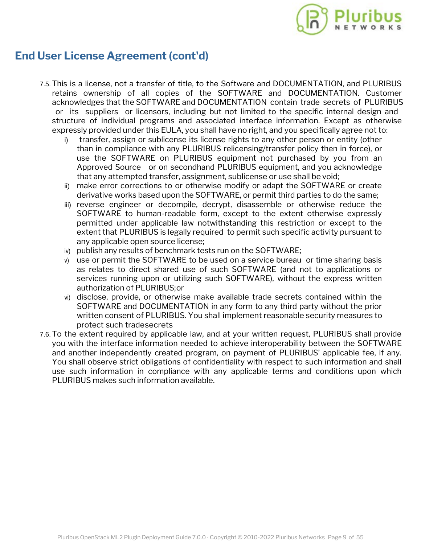

- 7.5.This is a license, not a transfer of title, to the Software and DOCUMENTATION, and PLURIBUS retains ownership of all copies of the SOFTWARE and DOCUMENTATION. Customer acknowledges that the SOFTWARE and DOCUMENTATION contain trade secrets of PLURIBUS or its suppliers or licensors, including but not limited to the specific internal design and structure of individual programs and associated interface information. Except as otherwise expressly provided under this EULA, you shall have no right, and you specifically agree not to:
	- transfer, assign or sublicense its license rights to any other person or entity (other than in compliance with any PLURIBUS relicensing/transfer policy then in force), or use the SOFTWARE on PLURIBUS equipment not purchased by you from an Approved Source or on secondhand PLURIBUS equipment, and you acknowledge that any attempted transfer, assignment, sublicense or use shall be void;
	- ii) make error corrections to or otherwise modify or adapt the SOFTWARE or create derivative works based upon the SOFTWARE, or permit third parties to do the same;
	- iii) reverse engineer or decompile, decrypt, disassemble or otherwise reduce the SOFTWARE to human-readable form, except to the extent otherwise expressly permitted under applicable law notwithstanding this restriction or except to the extent that PLURIBUS is legally required to permit such specific activity pursuant to any applicable open source license;
	- iv) publish any results of benchmark tests run on the SOFTWARE;
	- v) use or permit the SOFTWARE to be used on a service bureau or time sharing basis as relates to direct shared use of such SOFTWARE (and not to applications or services running upon or utilizing such SOFTWARE), without the express written authorization of PLURIBUS;or
	- vi) disclose, provide, or otherwise make available trade secrets contained within the SOFTWARE and DOCUMENTATION in any form to any third party without the prior written consent of PLURIBUS. You shall implement reasonable security measures to protect such tradesecrets
- 7.6.To the extent required by applicable law, and at your written request, PLURIBUS shall provide you with the interface information needed to achieve interoperability between the SOFTWARE and another independently created program, on payment of PLURIBUS' applicable fee, if any. You shall observe strict obligations of confidentiality with respect to such information and shall use such information in compliance with any applicable terms and conditions upon which PLURIBUS makes such information available.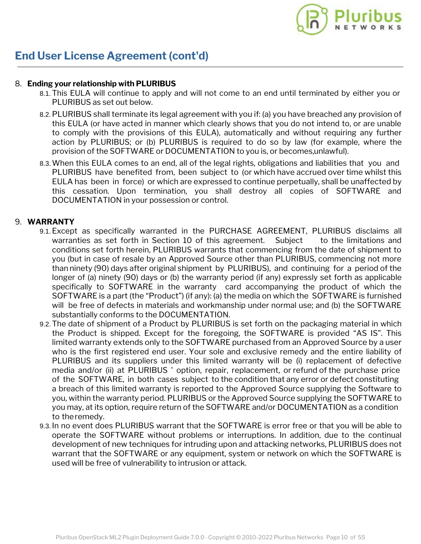#### 8. **Ending your relationship with PLURIBUS**

- 8.1.This EULA will continue to apply and will not come to an end until terminated by either you or PLURIBUS as set out below.
- 8.2.PLURIBUS shall terminate its legal agreement with you if: (a) you have breached any provision of this EULA (or have acted in manner which clearly shows that you do not intend to, or are unable to comply with the provisions of this EULA), automatically and without requiring any further action by PLURIBUS; or (b) PLURIBUS is required to do so by law (for example, where the provision of the SOFTWARE or DOCUMENTATION to you is, or becomes,unlawful).
- 8.3.When this EULA comes to an end, all of the legal rights, obligations and liabilities that you and PLURIBUS have benefited from, been subject to (or which have accrued over time whilst this EULA has been in force) or which are expressed to continue perpetually, shall be unaffected by this cessation. Upon termination, you shall destroy all copies of SOFTWARE and DOCUMENTATION in your possession or control.

#### 9. **WARRANTY**

- 9.1.Except as specifically warranted in the PURCHASE AGREEMENT, PLURIBUS disclaims all warranties as set forth in Section 10 of this agreement. Subject to the limitations and conditions set forth herein, PLURIBUS warrants that commencing from the date of shipment to you (but in case of resale by an Approved Source other than PLURIBUS, commencing not more than ninety (90) days after original shipment by PLURIBUS), and continuing for a period of the longer of (a) ninety (90) days or (b) the warranty period (if any) expressly set forth as applicable specifically to SOFTWARE in the warranty card accompanying the product of which the SOFTWARE is a part (the "Product") (if any): (a) the media on which the SOFTWARE is furnished will be free of defects in materials and workmanship under normal use; and (b) the SOFTWARE substantially conforms to the DOCUMENTATION.
- 9.2.The date of shipment of a Product by PLURIBUS is set forth on the packaging material in which the Product is shipped. Except for the foregoing, the SOFTWARE is provided "AS IS". This limited warranty extends only to the SOFTWARE purchased from an Approved Source by a user who is the first registered end user. Your sole and exclusive remedy and the entire liability of PLURIBUS and its suppliers under this limited warranty will be (i) replacement of defective media and/or (ii) at PLURIBUS ' option, repair, replacement, or refund of the purchase price of the SOFTWARE, in both cases subject to the condition that any error or defect constituting a breach of this limited warranty is reported to the Approved Source supplying the Software to you, within the warranty period. PLURIBUS or the Approved Source supplying the SOFTWARE to you may, at its option, require return of the SOFTWARE and/or DOCUMENTATION as a condition to theremedy.
- 9.3. In no event does PLURIBUS warrant that the SOFTWARE is error free or that you will be able to operate the SOFTWARE without problems or interruptions. In addition, due to the continual development of new techniques for intruding upon and attacking networks, PLURIBUS does not warrant that the SOFTWARE or any equipment, system or network on which the SOFTWARE is used will be free of vulnerability to intrusion or attack.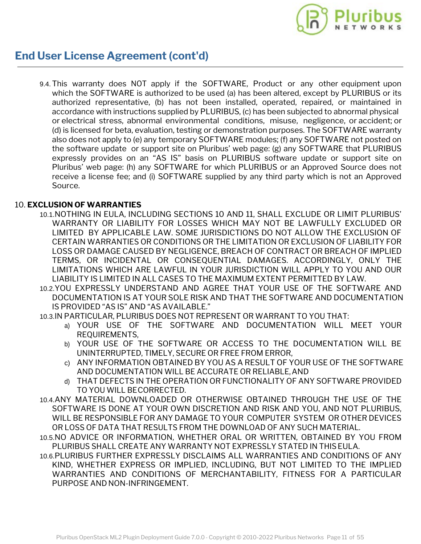

9.4.This warranty does NOT apply if the SOFTWARE, Product or any other equipment upon which the SOFTWARE is authorized to be used (a) has been altered, except by PLURIBUS or its authorized representative, (b) has not been installed, operated, repaired, or maintained in accordance with instructions supplied by PLURIBUS, (c) has been subjected to abnormal physical or electrical stress, abnormal environmental conditions, misuse, negligence, or accident; or (d) is licensed for beta, evaluation, testing or demonstration purposes. The SOFTWARE warranty also does not apply to (e) any temporary SOFTWARE modules; (f) any SOFTWARE not posted on the software update or support site on Pluribus' web page: (g) any SOFTWARE that PLURIBUS expressly provides on an "AS IS" basis on PLURIBUS software update or support site on Pluribus' web page: (h) any SOFTWARE for which PLURIBUS or an Approved Source does not receive a license fee; and (i) SOFTWARE supplied by any third party which is not an Approved Source.

#### 10. **EXCLUSION OF WARRANTIES**

- 10.1.NOTHING IN EULA, INCLUDING SECTIONS 10 AND 11, SHALL EXCLUDE OR LIMIT PLURIBUS' WARRANTY OR LIABILITY FOR LOSSES WHICH MAY NOT BE LAWFULLY EXCLUDED OR LIMITED BY APPLICABLE LAW. SOME JURISDICTIONS DO NOT ALLOW THE EXCLUSION OF CERTAIN WARRANTIES OR CONDITIONS OR THE LIMITATION OR EXCLUSION OF LIABILITY FOR LOSS OR DAMAGE CAUSED BY NEGLIGENCE, BREACH OF CONTRACT OR BREACH OF IMPLIED TERMS, OR INCIDENTAL OR CONSEQUENTIAL DAMAGES. ACCORDINGLY, ONLY THE LIMITATIONS WHICH ARE LAWFUL IN YOUR JURISDICTION WILL APPLY TO YOU AND OUR LIABILITY IS LIMITED IN ALL CASES TO THE MAXIMUM EXTENT PERMITTED BY LAW.
- 10.2.YOU EXPRESSLY UNDERSTAND AND AGREE THAT YOUR USE OF THE SOFTWARE AND DOCUMENTATION IS AT YOUR SOLE RISK AND THAT THE SOFTWARE AND DOCUMENTATION IS PROVIDED "AS IS" AND "AS AVAILABLE."

10.3.IN PARTICULAR, PLURIBUS DOES NOT REPRESENT OR WARRANT TO YOU THAT:

- a) YOUR USE OF THE SOFTWARE AND DOCUMENTATION WILL MEET YOUR REQUIREMENTS,
- b) YOUR USE OF THE SOFTWARE OR ACCESS TO THE DOCUMENTATION WILL BE UNINTERRUPTED, TIMELY, SECURE OR FREE FROM ERROR,
- c) ANY INFORMATION OBTAINED BY YOU AS A RESULT OF YOUR USE OF THE SOFTWARE AND DOCUMENTATION WILL BE ACCURATE OR RELIABLE,AND
- d) THAT DEFECTS IN THE OPERATION OR FUNCTIONALITY OF ANY SOFTWARE PROVIDED TO YOU WILL BECORRECTED.
- 10.4.ANY MATERIAL DOWNLOADED OR OTHERWISE OBTAINED THROUGH THE USE OF THE SOFTWARE IS DONE AT YOUR OWN DISCRETION AND RISK AND YOU, AND NOT PLURIBUS, WILL BE RESPONSIBLE FOR ANY DAMAGE TO YOUR COMPUTER SYSTEM OR OTHER DEVICES OR LOSS OF DATA THAT RESULTS FROM THE DOWNLOAD OF ANY SUCH MATERIAL.
- 10.5.NO ADVICE OR INFORMATION, WHETHER ORAL OR WRITTEN, OBTAINED BY YOU FROM PLURIBUS SHALL CREATE ANY WARRANTY NOT EXPRESSLY STATED IN THISEULA.
- 10.6.PLURIBUS FURTHER EXPRESSLY DISCLAIMS ALL WARRANTIES AND CONDITIONS OF ANY KIND, WHETHER EXPRESS OR IMPLIED, INCLUDING, BUT NOT LIMITED TO THE IMPLIED WARRANTIES AND CONDITIONS OF MERCHANTABILITY, FITNESS FOR A PARTICULAR PURPOSE AND NON-INFRINGEMENT.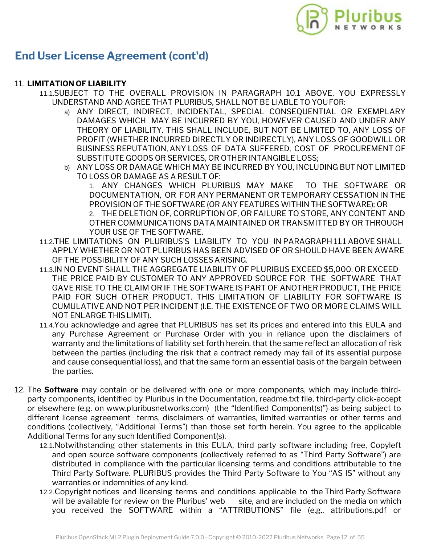

#### 11. **LIMITATION OF LIABILITY**

- 11.1.SUBJECT TO THE OVERALL PROVISION IN PARAGRAPH 10.1 ABOVE, YOU EXPRESSLY UNDERSTAND AND AGREE THAT PLURIBUS, SHALL NOT BE LIABLE TO YOUFOR:
	- a) ANY DIRECT, INDIRECT, INCIDENTAL, SPECIAL CONSEQUENTIAL OR EXEMPLARY DAMAGES WHICH MAY BE INCURRED BY YOU, HOWEVER CAUSED AND UNDER ANY THEORY OF LIABILITY. THIS SHALL INCLUDE, BUT NOT BE LIMITED TO, ANY LOSS OF PROFIT (WHETHER INCURRED DIRECTLY OR INDIRECTLY), ANY LOSS OF GOODWILL OR BUSINESS REPUTATION, ANY LOSS OF DATA SUFFERED, COST OF PROCUREMENT OF SUBSTITUTE GOODS OR SERVICES, OR OTHER INTANGIBLE LOSS;
	- b) ANY LOSS OR DAMAGE WHICH MAY BE INCURRED BY YOU, INCLUDING BUT NOT LIMITED TO LOSS OR DAMAGE AS A RESULT OF:

1. ANY CHANGES WHICH PLURIBUS MAY MAKE TO THE SOFTWARE OR DOCUMENTATION, OR FOR ANY PERMANENT OR TEMPORARY CESSATION IN THE PROVISION OF THE SOFTWARE (OR ANY FEATURES WITHIN THE SOFTWARE); OR 2. THE DELETION OF, CORRUPTION OF, OR FAILURE TO STORE, ANY CONTENT AND OTHER COMMUNICATIONS DATA MAINTAINED OR TRANSMITTED BY OR THROUGH YOUR USE OF THE SOFTWARE.

- 11.2.THE LIMITATIONS ON PLURIBUS'S LIABILITY TO YOU IN PARAGRAPH 11.1 ABOVE SHALL APPLY WHETHER OR NOT PLURIBUS HAS BEEN ADVISED OF OR SHOULD HAVE BEEN AWARE OF THE POSSIBILITY OF ANY SUCH LOSSESARISING.
- 11.3.IN NO EVENT SHALL THE AGGREGATE LIABILITY OF PLURIBUS EXCEED \$5,000. OR EXCEED THE PRICE PAID BY CUSTOMER TO ANY APPROVED SOURCE FOR THE SOFTWARE THAT GAVE RISE TO THE CLAIM OR IF THE SOFTWARE IS PART OF ANOTHER PRODUCT, THE PRICE PAID FOR SUCH OTHER PRODUCT. THIS LIMITATION OF LIABILITY FOR SOFTWARE IS CUMULATIVE AND NOT PER INCIDENT (I.E. THE EXISTENCE OF TWO OR MORE CLAIMS WILL NOT ENLARGE THISLIMIT).
- 11.4.You acknowledge and agree that PLURIBUS has set its prices and entered into this EULA and any Purchase Agreement or Purchase Order with you in reliance upon the disclaimers of warranty and the limitations of liability set forth herein, that the same reflect an allocation of risk between the parties (including the risk that a contract remedy may fail of its essential purpose and cause consequential loss), and that the same form an essential basis of the bargain between the parties.
- 12. The **Software** may contain or be delivered with one or more components, which may include thirdparty components, identified by Pluribus in the Documentation, readme.txt file, third-party click-accept or elsewhere (e.g. on www.pluribusnetworks.com) (the "Identified Component(s)") as being subject to different license agreement terms, disclaimers of warranties, limited warranties or other terms and conditions (collectively, "Additional Terms") than those set forth herein. You agree to the applicable Additional Terms for any such Identified Component(s).
	- 12.1.Notwithstanding other statements in this EULA, third party software including free, Copyleft and open source software components (collectively referred to as "Third Party Software") are distributed in compliance with the particular licensing terms and conditions attributable to the Third Party Software. PLURIBUS provides the Third Party Software to You "AS IS" without any warranties or indemnities of any kind.
	- 12.2.Copyright notices and licensing terms and conditions applicable to the Third Party Software will be available for review on the Pluribus' web site, and are included on the media on which you received the SOFTWARE within a "ATTRIBUTIONS" file (e.g., attributions.pdf or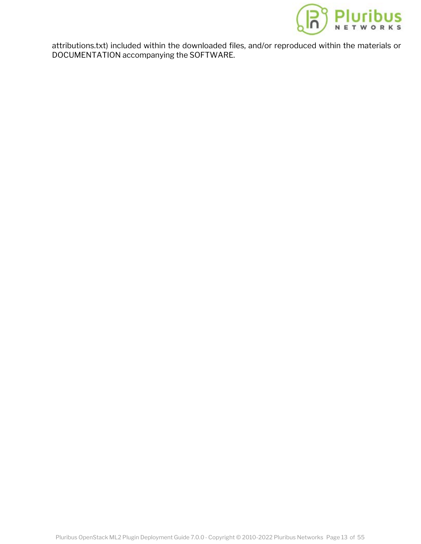

attributions.txt) included within the downloaded files, and/or repr[oduced within the materials or](https://www.pluribusnetworks.com) DOCUMENTATION accompanying the SOFTWARE.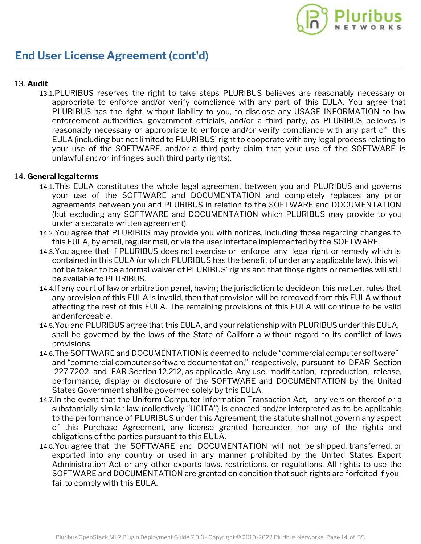

#### 13. **Audit**

13.1.PLURIBUS reserves the right to take steps PLURIBUS believes are reasonably necessary or appropriate to enforce and/or verify compliance with any part of this EULA. You agree that PLURIBUS has the right, without liability to you, to disclose any USAGE INFORMATION to law enforcement authorities, government officials, and/or a third party, as PLURIBUS believes is reasonably necessary or appropriate to enforce and/or verify compliance with any part of this EULA (including but not limited to PLURIBUS' right to cooperate with any legal process relating to your use of the SOFTWARE, and/or a third-party claim that your use of the SOFTWARE is unlawful and/or infringes such third party rights).

#### 14. **General legalterms**

- 14.1.This EULA constitutes the whole legal agreement between you and PLURIBUS and governs your use of the SOFTWARE and DOCUMENTATION and completely replaces any prior agreements between you and PLURIBUS in relation to the SOFTWARE and DOCUMENTATION (but excluding any SOFTWARE and DOCUMENTATION which PLURIBUS may provide to you under a separate written agreement).
- 14.2.You agree that PLURIBUS may provide you with notices, including those regarding changes to this EULA, by email, regular mail, or via the user interface implemented by the SOFTWARE.
- 14.3.You agree that if PLURIBUS does not exercise or enforce any legal right or remedy which is contained in this EULA (or which PLURIBUS has the benefit of under any applicable law), this will not be taken to be a formal waiver of PLURIBUS' rights and that those rights or remedies will still be available to PLURIBUS.
- 14.4.If any court of law or arbitration panel, having the jurisdiction to decideon this matter, rules that any provision of this EULA is invalid, then that provision will be removed from this EULA without affecting the rest of this EULA. The remaining provisions of this EULA will continue to be valid andenforceable.
- 14.5.You and PLURIBUS agree that this EULA, and your relationship with PLURIBUS under this EULA, shall be governed by the laws of the State of California without regard to its conflict of laws provisions.
- 14.6.The SOFTWARE and DOCUMENTATION is deemed to include "commercial computer software" and "commercial computer software documentation," respectively, pursuant to DFAR Section 227.7202 and FAR Section 12.212, as applicable. Any use, modification, reproduction, release, performance, display or disclosure of the SOFTWARE and DOCUMENTATION by the United States Government shall be governed solely by this EULA.
- 14.7.In the event that the Uniform Computer Information Transaction Act, any version thereof or a substantially similar law (collectively "UCITA") is enacted and/or interpreted as to be applicable to the performance of PLURIBUS under this Agreement, the statute shall not govern any aspect of this Purchase Agreement, any license granted hereunder, nor any of the rights and obligations of the parties pursuant to this EULA.
- 14.8.You agree that the SOFTWARE and DOCUMENTATION will not be shipped, transferred, or exported into any country or used in any manner prohibited by the United States Export Administration Act or any other exports laws, restrictions, or regulations. All rights to use the SOFTWARE and DOCUMENTATION are granted on condition that such rights are forfeited if you fail to comply with this EULA.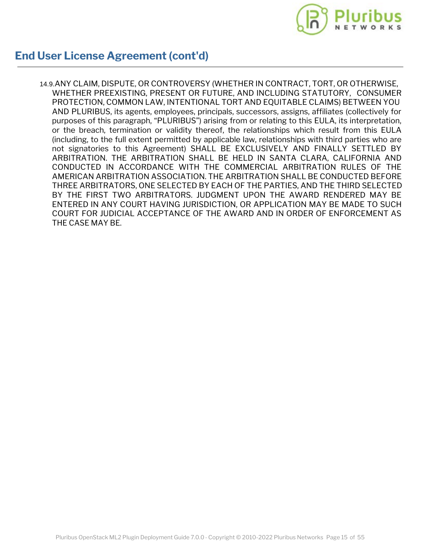

14.9.ANY CLAIM, DISPUTE, OR CONTROVERSY (WHETHER IN CONTRACT, TORT, OR OTHERWISE, WHETHER PREEXISTING, PRESENT OR FUTURE, AND INCLUDING STATUTORY, CONSUMER PROTECTION, COMMON LAW, INTENTIONAL TORT AND EQUITABLE CLAIMS) BETWEEN YOU AND PLURIBUS, its agents, employees, principals, successors, assigns, affiliates (collectively for purposes of this paragraph, "PLURIBUS") arising from or relating to this EULA, its interpretation, or the breach, termination or validity thereof, the relationships which result from this EULA (including, to the full extent permitted by applicable law, relationships with third parties who are not signatories to this Agreement) SHALL BE EXCLUSIVELY AND FINALLY SETTLED BY ARBITRATION. THE ARBITRATION SHALL BE HELD IN SANTA CLARA, CALIFORNIA AND CONDUCTED IN ACCORDANCE WITH THE COMMERCIAL ARBITRATION RULES OF THE AMERICAN ARBITRATION ASSOCIATION. THE ARBITRATION SHALL BE CONDUCTED BEFORE THREE ARBITRATORS, ONE SELECTED BY EACH OF THE PARTIES, AND THE THIRD SELECTED BY THE FIRST TWO ARBITRATORS. JUDGMENT UPON THE AWARD RENDERED MAY BE ENTERED IN ANY COURT HAVING JURISDICTION, OR APPLICATION MAY BE MADE TO SUCH COURT FOR JUDICIAL ACCEPTANCE OF THE AWARD AND IN ORDER OF ENFORCEMENT AS THE CASE MAY BE.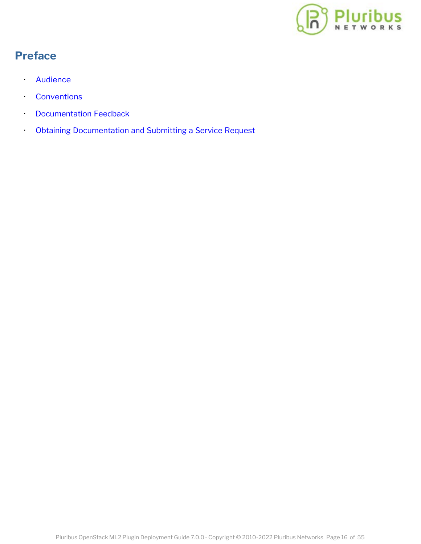

## <span id="page-14-0"></span>**Preface**

- **Audience**
- · Conventions
- · Documentation Feedback
- · Obtaining Documentation and Submitting a Service Request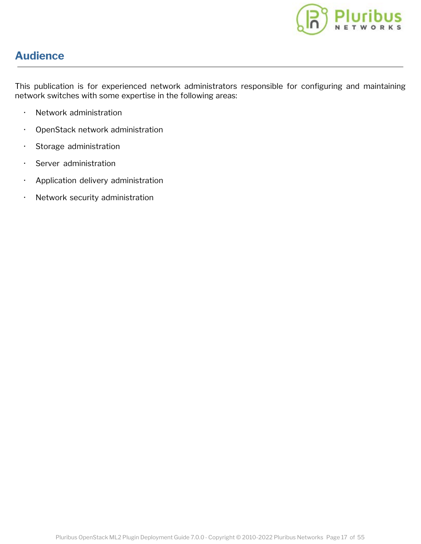

### <span id="page-15-0"></span>**Audience**

This publication is for experienced network administrators responsible for configuring and maintaining network switches with some expertise in the following areas:

- · Network administration
- · OpenStack network administration
- · Storage administration
- · Server administration
- · Application delivery administration
- · Network security administration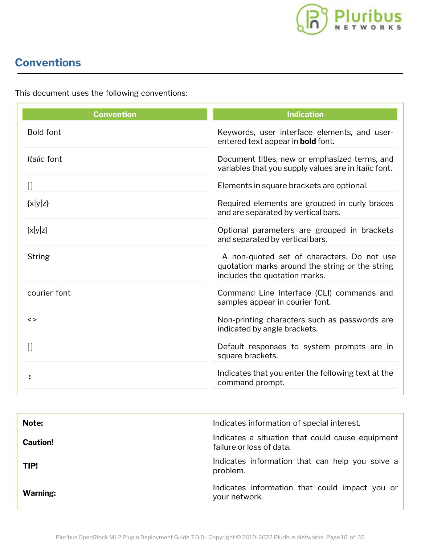

# <span id="page-16-0"></span>**Conventions**

This document uses the following conventions:

| <b>Convention</b> | <b>Indication</b>                                                                                                              |
|-------------------|--------------------------------------------------------------------------------------------------------------------------------|
| <b>Bold font</b>  | Keywords, user interface elements, and user-<br>entered text appear in <b>bold</b> font.                                       |
| Italic font       | Document titles, new or emphasized terms, and<br>variables that you supply values are in <i>italic</i> font.                   |
| $[ \ ]$           | Elements in square brackets are optional.                                                                                      |
| $\{x y z\}$       | Required elements are grouped in curly braces<br>and are separated by vertical bars.                                           |
| [x y z]           | Optional parameters are grouped in brackets<br>and separated by vertical bars.                                                 |
| <b>String</b>     | A non-quoted set of characters. Do not use<br>quotation marks around the string or the string<br>includes the quotation marks. |
| courier font      | Command Line Interface (CLI) commands and<br>samples appear in courier font.                                                   |
| $\leq$            | Non-printing characters such as passwords are<br>indicated by angle brackets.                                                  |
| $[$               | Default responses to system prompts are in<br>square brackets.                                                                 |
|                   | Indicates that you enter the following text at the<br>command prompt.                                                          |
|                   |                                                                                                                                |

| Note:           | Indicates information of special interest.                                   |
|-----------------|------------------------------------------------------------------------------|
| <b>Caution!</b> | Indicates a situation that could cause equipment<br>failure or loss of data. |
| TIP!            | Indicates information that can help you solve a<br>problem.                  |
| Warning:        | Indicates information that could impact you or<br>your network.              |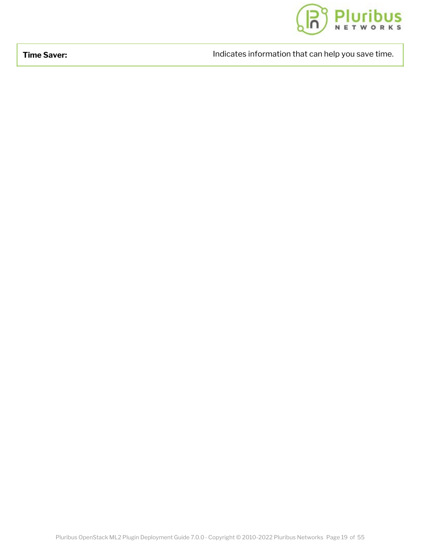

**Time Saver: Indicates information [that can help you save time.](https://www.pluribusnetworks.com)** And indicates information that can help you save time.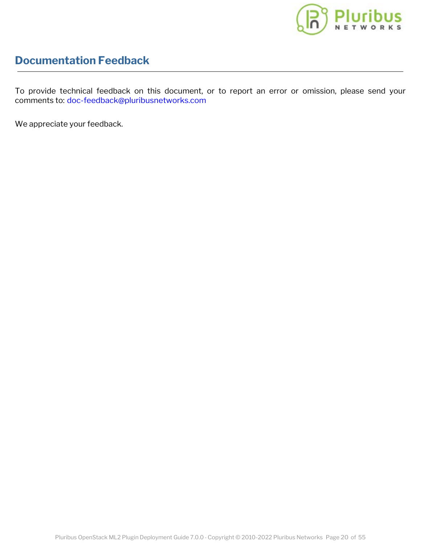

### <span id="page-18-0"></span>**Documentation Feedback**

To provide technical feedback on this document, or to report an error or omission, please send your comments to: [doc-feedback@pluribusnetworks.com](mailto:doc-feedback@pluribusnetworks.com?subject=Document Feedback Netvisor One Version 5.0.0 April 2019)

We appreciate your feedback.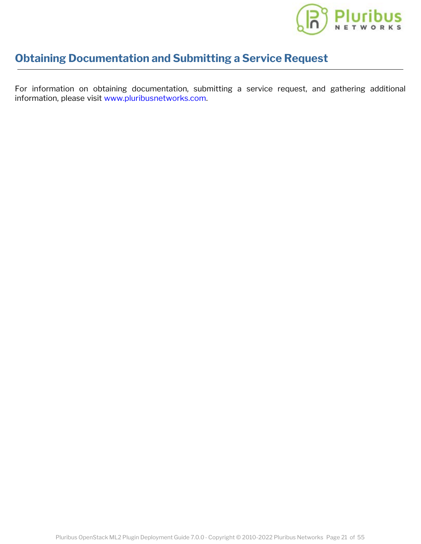

### <span id="page-19-0"></span>**Obtaining Documentation and Submitting a Service R[equest](https://www.pluribusnetworks.com)**

For information on obtaining documentation, submitting a service request, and gathering additional information, please visit [www.pluribusnetworks.com](https://www.pluribusnetworks.com/support).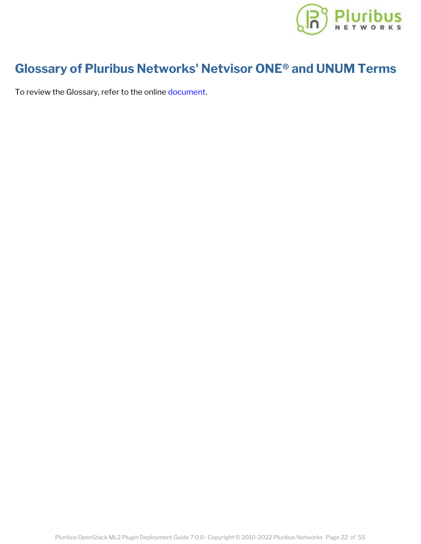

# <span id="page-20-0"></span>**Glossary of Pluribus Networks' Netvisor ONE® [and UNUM Terms](https://www.pluribusnetworks.com)**

To review the Glossary, refer to the online [document](https://techdocassets.pluribusnetworks.com/netvisor/nv1_700/openstack/Glossary.html).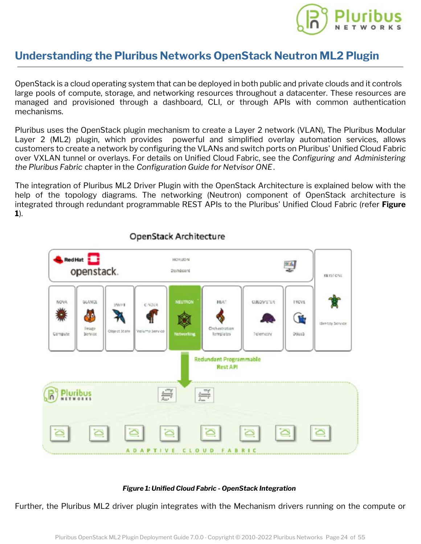

#### <span id="page-21-0"></span>**Understanding the Pluribus Networks OpenStack Ne[utron ML2 Plugin](https://www.pluribusnetworks.com)**

OpenStack is a cloud operating system that can be deployed in both public and private clouds and it controls large pools of compute, storage, and networking resources throughout a datacenter. These resources are managed and provisioned through a dashboard, CLI, or through APIs with common authentication mechanisms.

Pluribus uses the OpenStack plugin mechanism to create a Layer 2 network (VLAN), The Pluribus Modular Layer 2 (ML2) plugin, which provides powerful and simplified overlay automation services, allows customers to create a network by configuring the VLANs and switch ports on Pluribus' Unified Cloud Fabric over VXLAN tunnel or overlays. For details on Unified Cloud Fabric, see the *Configuring and Administering the Pluribus Fabric* chapter in the *Configuration Guide for Netvisor ONE*.

The integration of Pluribus ML2 Driver Plugin with the OpenStack Architecture is explained below with the help of the topology diagrams. The networking (Neutron) component of OpenStack architecture is integrated through redundant programmable REST APIs to the Pluribus' Unified Cloud Fabric (refer **Figure 1**).



#### OpenStack Architecture

#### *Figure 1: Unified Cloud Fabric - OpenStack Integration*

Further, the Pluribus ML2 driver plugin integrates with the Mechanism drivers running on the compute or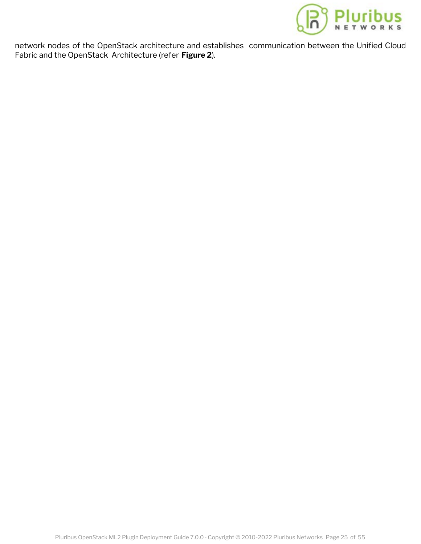

network nodes of the OpenStack architecture and establishes communica[tion between the Unified Cloud](https://www.pluribusnetworks.com) Fabric and the OpenStack Architecture (refer **Figure 2**).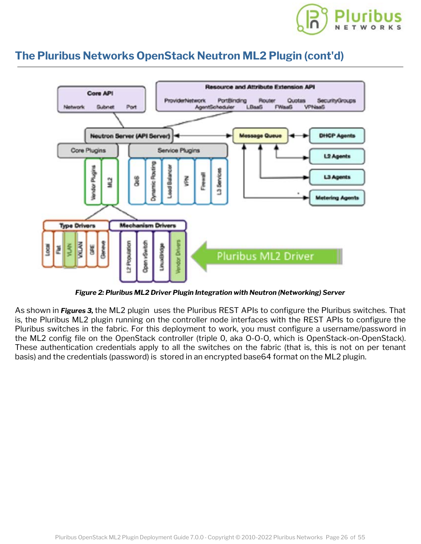

#### **The Pluribus Networks OpenStack Neutron ML2 Plu[gin \(cont'd\)](https://www.pluribusnetworks.com)**



*Figure 2: Pluribus ML2 Driver Plugin Integration with Neutron (Networking) Server*

As shown in *Figures 3,* the ML2 plugin uses the Pluribus REST APIs to configure the Pluribus switches. That is, the Pluribus ML2 plugin running on the controller node interfaces with the REST APIs to configure the Pluribus switches in the fabric. For this deployment to work, you must configure a username/password in the ML2 config file on the OpenStack controller (triple 0, aka O-O-O, which is OpenStack-on-OpenStack). These authentication credentials apply to all the switches on the fabric (that is, this is not on per tenant basis) and the credentials (password) is stored in an encrypted base64 format on the ML2 plugin.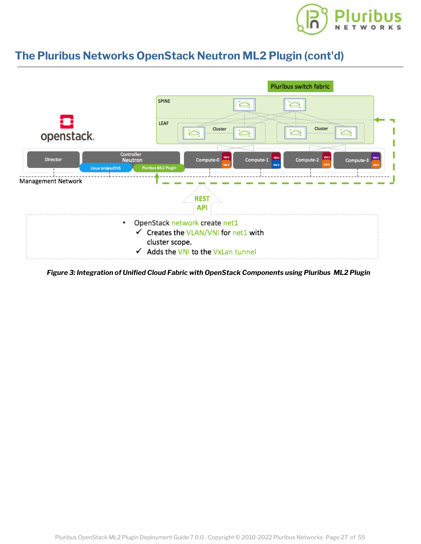

### **The Pluribus Networks OpenStack Neutron ML2 Plu[gin \(cont'd\)](https://www.pluribusnetworks.com)**



*Figure 3: Integration of Unified Cloud Fabric with OpenStack Components using Pluribus ML2 Plugin*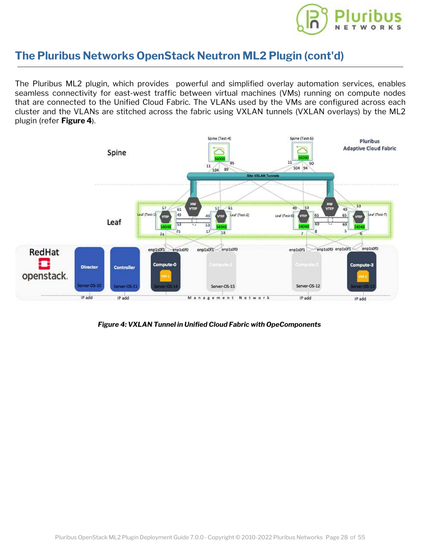

#### **The Pluribus Networks OpenStack Neutron ML2 Plu[gin \(cont'd\)](https://www.pluribusnetworks.com)**

The Pluribus ML2 plugin, which provides powerful and simplified overlay automation services, enables seamless connectivity for east-west traffic between virtual machines (VMs) running on compute nodes that are connected to the Unified Cloud Fabric. The VLANs used by the VMs are configured across each cluster and the VLANs are stitched across the fabric using VXLAN tunnels (VXLAN overlays) by the ML2 plugin (refer **Figure 4**).



*Figure 4: VXLAN Tunnel in Unified Cloud Fabric with OpeComponents*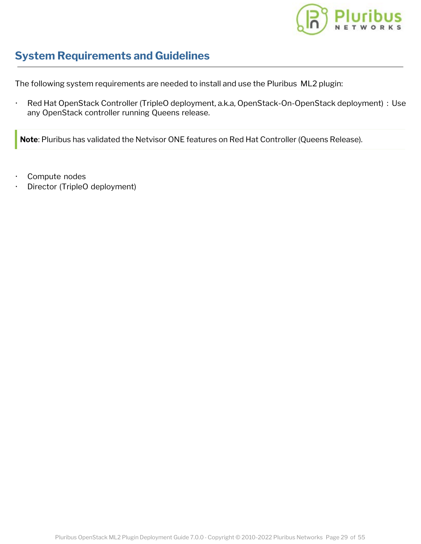

### <span id="page-26-0"></span>**System Requirements and Guidelines**

The following system requirements are needed to install and use the Pluribus ML2 plugin:

· Red Hat OpenStack Controller (TripleO deployment, a.k.a, OpenStack-On-OpenStack deployment) : Use any OpenStack controller running Queens release.

**Note**: Pluribus has validated the Netvisor ONE features on Red Hat Controller (Queens Release).

- Compute nodes
- Director (TripleO deployment)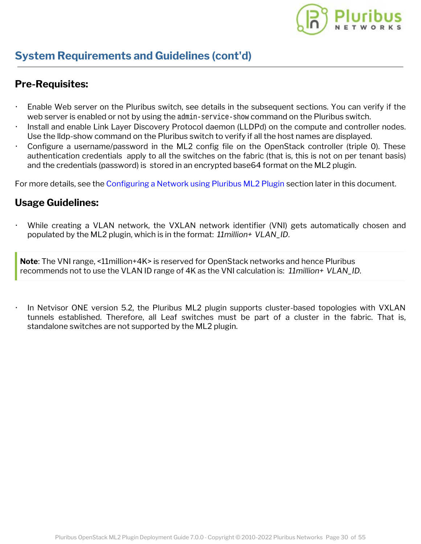

### **System Requirements and Guidelines (cont'd)**

#### **Pre-Requisites:**

- Enable Web server on the Pluribus switch, see details in the subsequent sections. You can verify if the web server is enabled or not by using the admin-service-show command on the Pluribus switch.
- Install and enable Link Layer Discovery Protocol daemon (LLDPd) on the compute and controller nodes. Use the lldp-show command on the Pluribus switch to verify if all the host names are displayed.
- Configure a username/password in the ML2 config file on the OpenStack controller (triple 0). These authentication credentials apply to all the switches on the fabric (that is, this is not on per tenant basis) and the credentials (password) is stored in an encrypted base64 format on the ML2 plugin.

For more details, see the [Configuring a Network using Pluribus ML2 Plugin](#page-32-0) section later in this document.

#### **Usage Guidelines:**

While creating a VLAN network, the VXLAN network identifier (VNI) gets automatically chosen and populated by the ML2 plugin, which is in the format: *11million+ VLAN\_ID*.

**Note**: The VNI range, <11million+4K> is reserved for OpenStack networks and hence Pluribus recommends not to use the VLAN ID range of 4K as the VNI calculation is: *11million+ VLAN\_ID.*

In Netvisor ONE version 5.2, the Pluribus ML2 plugin supports cluster-based topologies with VXLAN tunnels established. Therefore, all Leaf switches must be part of a cluster in the fabric. That is, standalone switches are not supported by the ML2 plugin.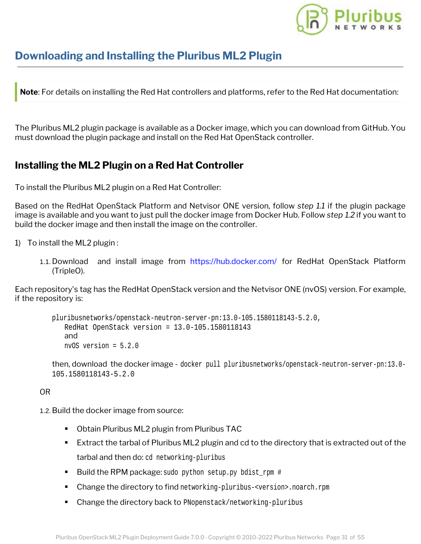

### <span id="page-28-0"></span>**Downloading and Installing the Pluribus ML2 Plugin**

**Note**: For details on installing the Red Hat controllers and platforms, refer to the Red Hat documentation:

The Pluribus ML2 plugin package is available as a Docker image, which you can download from GitHub. You must download the plugin package and install on the Red Hat OpenStack controller.

#### **Installing the ML2 Plugin on a Red Hat Controller**

To install the Pluribus ML2 plugin on a Red Hat Controller:

Based on the RedHat OpenStack Platform and Netvisor ONE version, follow *step 1.1* if the plugin package image is available and you want to just pull the docker image from Docker Hub. Follow *step 1.2* if you want to build the docker image and then install the image on the controller.

1) To install the ML2 plugin :

1.1. Download and install image from <https://hub.docker.com/> for RedHat OpenStack Platform (TripleO).

Each repository's tag has the RedHat OpenStack version and the Netvisor ONE (nvOS) version. For example, if the repository is:

```
pluribusnetworks/openstack-neutron-server-pn:13.0-105.1580118143-5.2.0,
   RedHat OpenStack version = 13.0-105.1580118143
   and
   nvOS version = 5.2.0
```

```
then, download the docker image - docker pull pluribusnetworks/openstack-neutron-server-pn:13.0-
105.1580118143-5.2.0
```
#### OR

1.2.Build the docker image from source:

- Obtain Pluribus ML2 plugin from Pluribus TAC
- Extract the tarbal of Pluribus ML2 plugin and cd to the directory that is extracted out of the tarbal and then do: cd networking-pluribus
- Build the RPM package: sudo python setup.py bdist rpm #
- Change the directory to find networking-pluribus-<version>.noarch.rpm
- **Change the directory back to PNopenstack/networking-pluribus**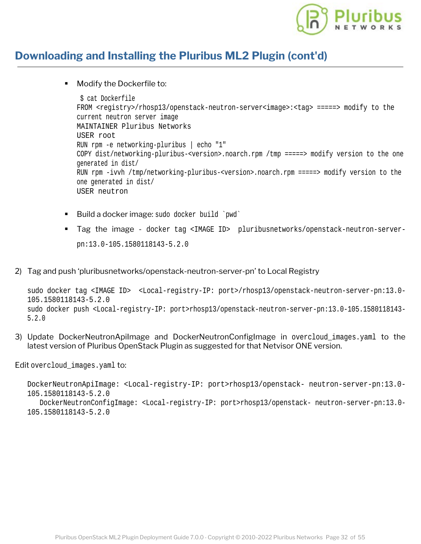

### **Downloading and Installing the Pluribus ML2 Plugin ([cont'd\)](https://www.pluribusnetworks.com)**

**Modify the Dockerfile to:** 

```
 $ cat Dockerfile
FROM <registry>/rhosp13/openstack-neutron-server<image>:<tag> =====> modify to the
current neutron server image
MAINTAINER Pluribus Networks
USER root
RUN rpm -e networking-pluribus | echo "1"
COPY dist/networking-pluribus-<version>.noarch.rpm /tmp =====> modify version to the one
generated in dist/
RUN rpm -ivvh /tmp/networking-pluribus-<version>.noarch.rpm =====> modify version to the
one generated in dist/
USER neutron
```
- Build a docker image: sudo docker build `pwd`
- Tag the image docker tag <IMAGE ID> pluribusnetworks/openstack-neutron-serverpn:13.0-105.1580118143-5.2.0
- 2) Tag and push 'pluribusnetworks/openstack-neutron-server-pn' to Local Registry

```
sudo docker tag <IMAGE ID> <Local-registry-IP: port>/rhosp13/openstack-neutron-server-pn:13.0-
105.1580118143-5.2.0
sudo docker push <Local-registry-IP: port>rhosp13/openstack-neutron-server-pn:13.0-105.1580118143-
5.2.0
```
3) Update DockerNeutronApiImage and DockerNeutronConfigImage in overcloud\_images.yaml to the latest version of Pluribus OpenStack Plugin as suggested for that Netvisor ONE version.

Edit overcloud\_images.yaml to:

```
DockerNeutronApiImage: <Local-registry-IP: port>rhosp13/openstack- neutron-server-pn:13.0-
105.1580118143-5.2.0
   DockerNeutronConfigImage: <Local-registry-IP: port>rhosp13/openstack- neutron-server-pn:13.0-
105.1580118143-5.2.0
```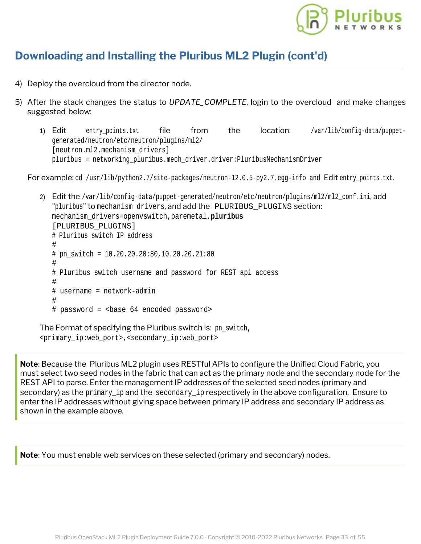

### **Downloading and Installing the Pluribus ML2 Plugin ([cont'd\)](https://www.pluribusnetworks.com)**

- 4) Deploy the overcloud from the director node.
- 5) After the stack changes the status to *UPDATE\_COMPLETE*, login to the overcloud and make changes suggested below:
	- 1) Edit entry\_points.txt file from the location: /var/lib/config-data/puppetgenerated/neutron/etc/neutron/plugins/ml2/ [neutron.ml2.mechanism drivers] pluribus = networking\_pluribus.mech\_driver.driver:PluribusMechanismDriver

For example: cd /usr/lib/python2.7/site-packages/neutron-12.0.5-py2.7.egg-info and Edit entry\_points.txt.

2) Edit the /var/lib/config-data/puppet-generated/neutron/etc/neutron/plugins/ml2/ml2 conf.ini, add "pluribus" to mechanism drivers, and add the PLURIBUS\_PLUGINS section: mechanism\_drivers=openvswitch,baremetal,**pluribus** [PLURIBUS\_PLUGINS] # Pluribus switch IP address # # pn\_switch = 10.20.20.20:80,10.20.20.21:80 # # Pluribus switch username and password for REST api access # # username = network-admin # # password = <br >>base 64 encoded password>

The Format of specifying the Pluribus switch is: pn\_switch, <primary\_ip:web\_port>,<secondary\_ip:web\_port>

**Note**: Because the Pluribus ML2 plugin uses RESTful APIs to configure the Unified Cloud Fabric, you must select two seed nodes in the fabric that can act as the primary node and the secondary node for the REST API to parse. Enter the management IP addresses of the selected seed nodes (primary and secondary) as the primary\_ip and the secondary\_ip respectively in the above configuration. Ensure to enter the IP addresses without giving space between primary IP address and secondary IP address as shown in the example above.

**Note**: You must enable web services on these selected (primary and secondary) nodes.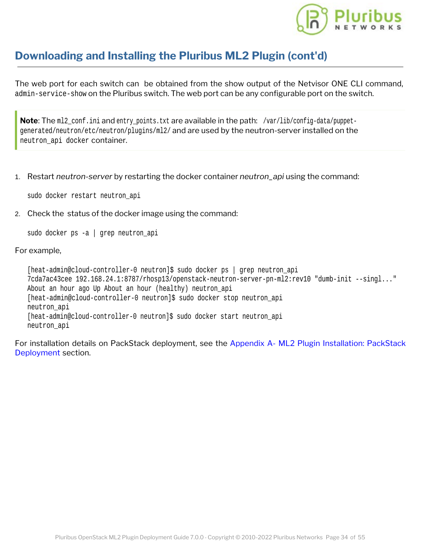

### **Downloading and Installing the Pluribus ML2 Plugin ([cont'd\)](https://www.pluribusnetworks.com)**

The web port for each switch can be obtained from the show output of the Netvisor ONE CLI command, admin-service-show on the Pluribus switch. The web port can be any configurable port on the switch.

Note: The ml2\_conf.ini and entry\_points.txt are available in the path: /var/lib/config-data/puppetgenerated/neutron/etc/neutron/plugins/ml2/ and are used by the neutron-server installed on the neutron\_api docker container.

1. Restart *neutron-server* by restarting the docker container *neutron\_api* using the command:

sudo docker restart neutron\_api

2. Check the status of the docker image using the command:

sudo docker ps -a | grep neutron\_api

#### For example,

[heat-admin@cloud-controller-0 neutron]\$ sudo docker ps | grep neutron\_api 7cda7ac43cee 192.168.24.1:8787/rhosp13/openstack-neutron-server-pn-ml2:rev10 "dumb-init --singl..." About an hour ago Up About an hour (healthy) neutron\_api [heat-admin@cloud-controller-0 neutron]\$ sudo docker stop neutron\_api neutron\_api [heat-admin@cloud-controller-0 neutron]\$ sudo docker start neutron\_api neutron\_api

For installation details on PackStack deployment, see the [Appendix A- ML2 Plugin Installation: PackStack](#page-50-0) [Deployment](#page-50-0) section.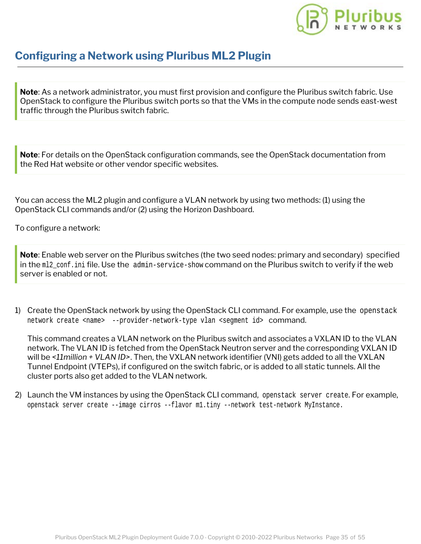

<span id="page-32-0"></span>**Note**: As a network administrator, you must first provision and configure the Pluribus switch fabric. Use OpenStack to configure the Pluribus switch ports so that the VMs in the compute node sends east-west traffic through the Pluribus switch fabric.

**Note**: For details on the OpenStack configuration commands, see the OpenStack documentation from the Red Hat website or other vendor specific websites.

You can access the ML2 plugin and configure a VLAN network by using two methods: (1) using the OpenStack CLI commands and/or (2) using the Horizon Dashboard.

To configure a network:

**Note**: Enable web server on the Pluribus switches (the two seed nodes: primary and secondary) specified in the m12 conf.ini file. Use the admin-service-show command on the Pluribus switch to verify if the web server is enabled or not.

1) Create the OpenStack network by using the OpenStack CLI command. For example, use the openstack network create <name> --provider-network-type vlan <segment id> command.

This command creates a VLAN network on the Pluribus switch and associates a VXLAN ID to the VLAN network. The VLAN ID is fetched from the OpenStack Neutron server and the corresponding VXLAN ID will be *<11million + VLAN ID>*. Then, the VXLAN network identifier (VNI) gets added to all the VXLAN Tunnel Endpoint (VTEPs), if configured on the switch fabric, or is added to all static tunnels. All the cluster ports also get added to the VLAN network.

2) Launch the VM instances by using the OpenStack CLI command, openstack server create. For example, openstack server create --image cirros --flavor m1.tiny --network test-network MyInstance.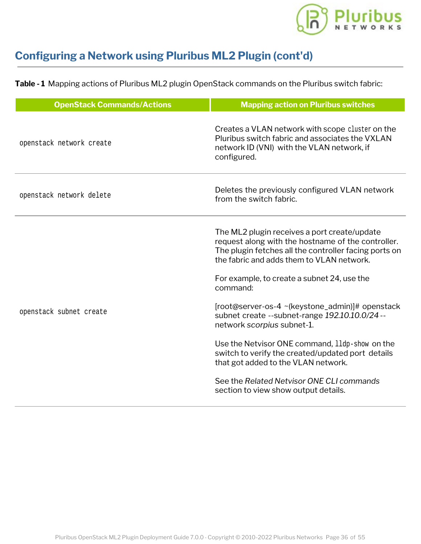

**Table - 1** Mapping actions of Pluribus ML2 plugin OpenStack commands on the Pluribus switch fabric:

| <b>OpenStack Commands/Actions</b> | <b>Mapping action on Pluribus switches</b>                                                                                                                                                                                                              |
|-----------------------------------|---------------------------------------------------------------------------------------------------------------------------------------------------------------------------------------------------------------------------------------------------------|
| openstack network create          | Creates a VLAN network with scope cluster on the<br>Pluribus switch fabric and associates the VXLAN<br>network ID (VNI) with the VLAN network, if<br>configured.                                                                                        |
| openstack network delete          | Deletes the previously configured VLAN network<br>from the switch fabric.                                                                                                                                                                               |
|                                   | The ML2 plugin receives a port create/update<br>request along with the hostname of the controller.<br>The plugin fetches all the controller facing ports on<br>the fabric and adds them to VLAN network.<br>For example, to create a subnet 24, use the |
| openstack subnet create           | command:<br>[root@server-os-4 ~(keystone_admin)]# openstack<br>subnet create --subnet-range 192.10.10.0/24 --<br>network scorpius subnet-1.                                                                                                             |
|                                   | Use the Netvisor ONE command, 11dp-show on the<br>switch to verify the created/updated port details<br>that got added to the VLAN network.                                                                                                              |
|                                   | See the Related Netvisor ONE CLI commands<br>section to view show output details.                                                                                                                                                                       |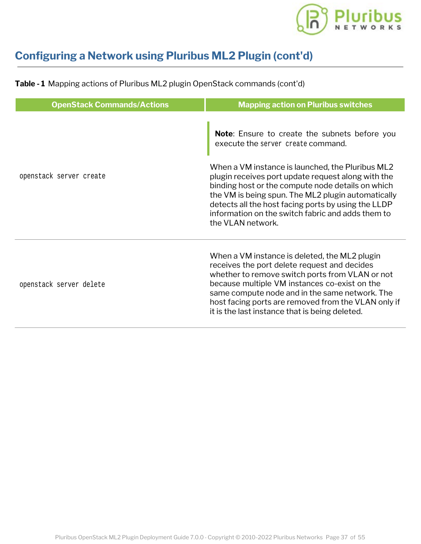

| <b>OpenStack Commands/Actions</b> | <b>Mapping action on Pluribus switches</b>                                                                                                                                                                                                                                                                                                                   |
|-----------------------------------|--------------------------------------------------------------------------------------------------------------------------------------------------------------------------------------------------------------------------------------------------------------------------------------------------------------------------------------------------------------|
| openstack server create           | Note: Ensure to create the subnets before you<br>execute the server create command.<br>When a VM instance is launched, the Pluribus ML2<br>plugin receives port update request along with the                                                                                                                                                                |
|                                   | binding host or the compute node details on which<br>the VM is being spun. The ML2 plugin automatically<br>detects all the host facing ports by using the LLDP<br>information on the switch fabric and adds them to<br>the VLAN network.                                                                                                                     |
| openstack server delete           | When a VM instance is deleted, the ML2 plugin<br>receives the port delete request and decides<br>whether to remove switch ports from VLAN or not<br>because multiple VM instances co-exist on the<br>same compute node and in the same network. The<br>host facing ports are removed from the VLAN only if<br>it is the last instance that is being deleted. |

**Table - 1** Mapping actions of Pluribus ML2 plugin OpenStack commands (cont'd)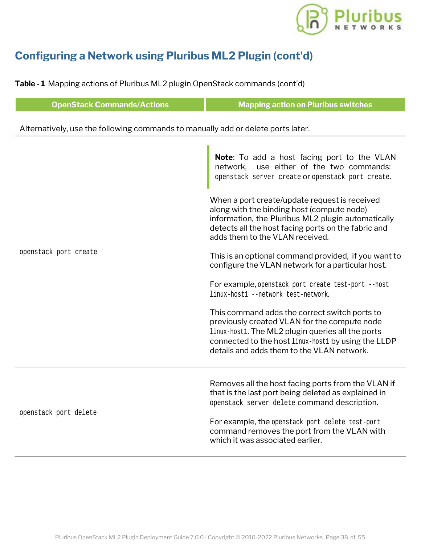

**Table - 1** Mapping actions of Pluribus ML2 plugin OpenStack commands (cont'd)

| <b>OpenStack Commands/Actions</b>                                                | <b>Mapping action on Pluribus switches</b>                                                                                                                                                                                                               |  |  |  |  |  |  |  |  |
|----------------------------------------------------------------------------------|----------------------------------------------------------------------------------------------------------------------------------------------------------------------------------------------------------------------------------------------------------|--|--|--|--|--|--|--|--|
| Alternatively, use the following commands to manually add or delete ports later. |                                                                                                                                                                                                                                                          |  |  |  |  |  |  |  |  |
|                                                                                  | Note: To add a host facing port to the VLAN<br>use either of the two commands:<br>network,<br>openstack server create Or openstack port create.                                                                                                          |  |  |  |  |  |  |  |  |
|                                                                                  | When a port create/update request is received<br>along with the binding host (compute node)<br>information, the Pluribus ML2 plugin automatically<br>detects all the host facing ports on the fabric and<br>adds them to the VLAN received.              |  |  |  |  |  |  |  |  |
| openstack port create                                                            | This is an optional command provided, if you want to<br>configure the VLAN network for a particular host.                                                                                                                                                |  |  |  |  |  |  |  |  |
|                                                                                  | For example, openstack port create test-port --host<br>linux-host1 --network test-network.                                                                                                                                                               |  |  |  |  |  |  |  |  |
|                                                                                  | This command adds the correct switch ports to<br>previously created VLAN for the compute node<br>linux-host1. The ML2 plugin queries all the ports<br>connected to the host linux-host 1 by using the LLDP<br>details and adds them to the VLAN network. |  |  |  |  |  |  |  |  |
| openstack port delete                                                            | Removes all the host facing ports from the VLAN if<br>that is the last port being deleted as explained in<br>openstack server delete command description.                                                                                                |  |  |  |  |  |  |  |  |
|                                                                                  | For example, the openstack port delete test-port<br>command removes the port from the VLAN with<br>which it was associated earlier.                                                                                                                      |  |  |  |  |  |  |  |  |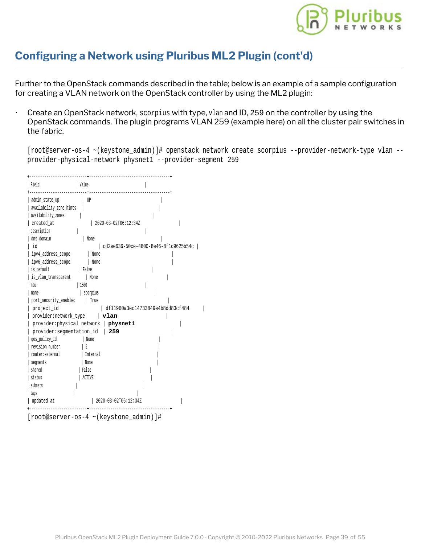

Further to the OpenStack commands described in the table; below is an example of a sample configuration for creating a VLAN network on the OpenStack controller by using the ML2 plugin:

· Create an OpenStack network, scorpius with type, vlan and ID, 259 on the controller by using the OpenStack commands. The plugin programs VLAN 259 (example here) on all the cluster pair switches in the fabric.

[root@server-os-4 ~(keystone\_admin)]# openstack network create scorpius --provider-network-type vlan - provider-physical-network physnet1 --provider-segment 259

| Field                                                           | Value                                 |                                      |
|-----------------------------------------------------------------|---------------------------------------|--------------------------------------|
| admin_state_up<br>availability_zone_hints<br>availability_zones | UP                                    |                                      |
| created at                                                      | 2020-03-02T06:12:34Z                  |                                      |
| description                                                     |                                       |                                      |
| dns_domain                                                      | None                                  |                                      |
| id                                                              |                                       | cd2ee636-50ce-4800-8e46-8f1d9625b54c |
| ipv4_address_scope                                              | None                                  |                                      |
| ipv6_address_scope                                              | None                                  |                                      |
| is default                                                      | False                                 |                                      |
| is_vlan_transparent                                             | None                                  |                                      |
| mtu                                                             | 1500                                  |                                      |
| name                                                            | scorpius                              |                                      |
| port_security_enabled                                           | True                                  |                                      |
| project_id                                                      |                                       | df11960a3ec14733849e4b8dd83cf484     |
| provider: network_type                                          | ∣ vlan                                |                                      |
|                                                                 | provider: physical_network   physnet1 |                                      |
| provider: segmentation_id                                       | 259                                   |                                      |
| qos_policy_id                                                   | None                                  |                                      |
| revision number                                                 |                                       |                                      |
| router: external                                                | Internal                              |                                      |
| seqments                                                        | None                                  |                                      |
| shared                                                          | False                                 |                                      |
| status                                                          | ACTIVE                                |                                      |
| subnets                                                         |                                       |                                      |
| tags                                                            |                                       |                                      |
| updated_at                                                      | 2020-03-02T06:12:34Z                  |                                      |
|                                                                 |                                       | .                                    |

[root@server-os-4 ~(keystone\_admin)]#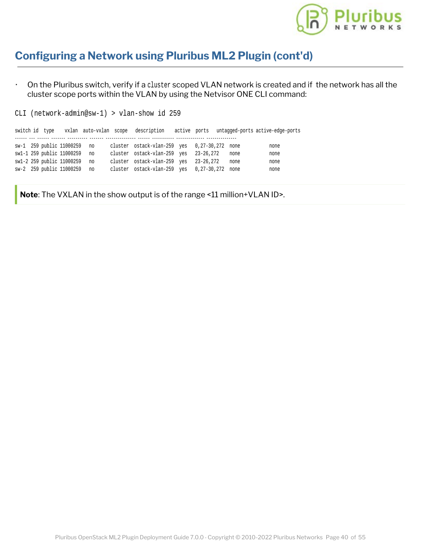

· On the Pluribus switch, verify if a cluster scoped VLAN network is created and if the network has all the cluster scope ports within the VLAN by using the Netvisor ONE CLI command:

CLI (network-admin@sw-1) > vlan-show id 259

|  |                              |    |                                              |  |      | switch id type vxlan auto-vxlan scope description active ports untagged-ports active-edge-ports |
|--|------------------------------|----|----------------------------------------------|--|------|-------------------------------------------------------------------------------------------------|
|  |                              |    |                                              |  |      |                                                                                                 |
|  | sw-1 259 public 11000259 no  |    | cluster ostack-vlan-259 yes 0,27-30,272 none |  |      | none                                                                                            |
|  | sw1-1 259 public 11000259 no |    | cluster ostack-vlan-259 yes 23-26,272        |  | none | none                                                                                            |
|  | sw1-2 259 public 11000259    | no | cluster ostack-vlan-259 yes 23-26,272        |  | none | none                                                                                            |
|  | sw-2 259 public 11000259 no  |    | cluster ostack-vlan-259 yes 0,27-30,272 none |  |      | none                                                                                            |

**Note**: The VXLAN in the show output is of the range <11 million+VLAN ID>.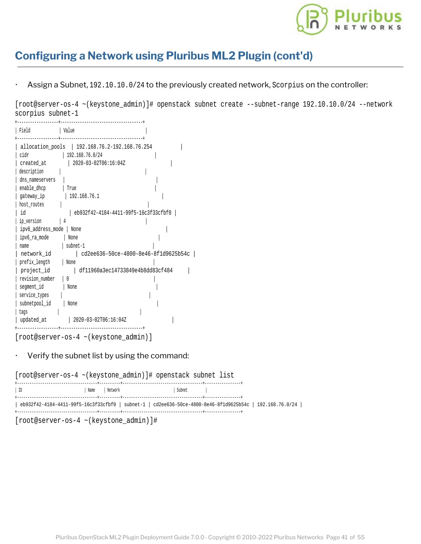

Assign a Subnet, 192.10.10.0/24 to the previously created network, Scorpius on the controller:

[root@server-os-4 ~(keystone\_admin)]# openstack subnet create --subnet-range 192.10.10.0/24 --network scorpius subnet-1

| Field                                                                                                                                                                                                                                                                   | Value                                                                                                                                                                                                                                                                     |  |
|-------------------------------------------------------------------------------------------------------------------------------------------------------------------------------------------------------------------------------------------------------------------------|---------------------------------------------------------------------------------------------------------------------------------------------------------------------------------------------------------------------------------------------------------------------------|--|
| cidr<br>created at<br>description<br>dns nameservers<br>enable_dhcp<br>qateway ip<br>host routes<br>id<br>ip version<br>ipv6 address mode   None<br>ipv6 ra mode<br>name<br>network id<br>prefix length<br>project id<br>revision number<br>segment_id<br>service types | allocation_pools   192.168.76.2-192.168.76.254<br>192.168.76.0/24<br>2020-03-02T06:16:04Z<br>True<br>192.168.76.1<br>eb932f42-4184-4411-99f5-16c3f33cfbf0<br>None<br>subnet-1<br>cd2ee636-50ce-4800-8e46-8f1d9625b54c<br>None<br>df11960a3ec14733849e4b8dd83cf484<br>None |  |
| subnetpool id<br>tags                                                                                                                                                                                                                                                   | None                                                                                                                                                                                                                                                                      |  |
| updated at                                                                                                                                                                                                                                                              | 2020-03-02T06:16:04Z                                                                                                                                                                                                                                                      |  |

[root@server-os-4 ~(keystone\_admin)]

#### Verify the subnet list by using the command:

[root@server-os-4 ~(keystone\_admin)]# openstack subnet list

| eb932f42-4184-4411-99f5-16c3f33cfbf0   subnet-1   cd2ee636-50ce-4800-8e46-8f1d9625b54c   192.168.76.0/24 | ID | Name | Network | Subnet. |  |
|----------------------------------------------------------------------------------------------------------|----|------|---------|---------|--|
|                                                                                                          |    |      |         |         |  |

[root@server-os-4 ~(keystone\_admin)]#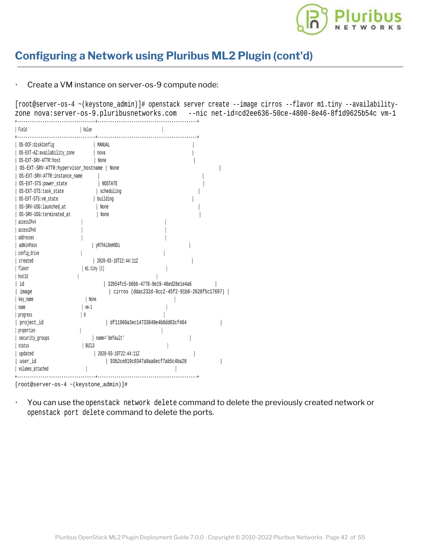

#### Create a VM instance on server-os-9 compute node:

[root@server-os-4 ~(keystone\_admin)]# openstack server create --image cirros --flavor m1.tiny --availabilityzone nova:server-os-9.pluribusnetworks.com --nic net-id=cd2ee636-50ce-4800-8e46-8f1d9625b54c vm-1

| Field                               | Value                                              |  |
|-------------------------------------|----------------------------------------------------|--|
| 0S-DCF:diskConfiq                   | MANUAL                                             |  |
| OS-EXT-AZ:availability_zone         | nova                                               |  |
| OS-EXT-SRV-ATTR:host                | None                                               |  |
| OS-EXT-SRV-ATTR:hypervisor_hostname | None                                               |  |
| OS-EXT-SRV-ATTR: instance name      |                                                    |  |
| OS-EXT-STS:power_state              | <b>NOSTATE</b>                                     |  |
| OS-EXT-STS:task_state               | scheduling                                         |  |
| OS-EXT-STS: vm_state                | building                                           |  |
| OS-SRV-USG: launched at             | None                                               |  |
| OS-SRV-USG:terminated at            | None                                               |  |
| accessIPv4                          |                                                    |  |
| accessIPv6                          |                                                    |  |
| addresses                           |                                                    |  |
| adminPass                           | yR7hki8eH9Di                                       |  |
| config_drive                        |                                                    |  |
| created                             | 2020-03-10T22:44:11Z                               |  |
| flavor                              | $ml.$ tiny $(1)$                                   |  |
| hostId                              |                                                    |  |
| id                                  | 32b54fc5-b6bb-4778-8e19-48ed28e1e4a6               |  |
| image                               | $  cirros (ddac232d-8cc2-45f2-91b8-2628f5c17697) $ |  |
| key name                            | None                                               |  |
| name                                | vm-1                                               |  |
| progress                            |                                                    |  |
| project_id                          | df11960a3ec14733849e4b8dd83cf484                   |  |
| properties                          |                                                    |  |
| security_groups                     | name='default'                                     |  |
| status                              | BUILD                                              |  |
| updated                             | 2020-03-10T22:44:11Z                               |  |
| user id                             | 93b2ce819c0347a9aa6ecf7ab5c4ba28                   |  |
| volumes_attached                    |                                                    |  |
|                                     |                                                    |  |

<sup>[</sup>root@server-os-4 ~(keystone\_admin)]#

· You can use the openstack network delete command to delete the previously created network or openstack port delete command to delete the ports.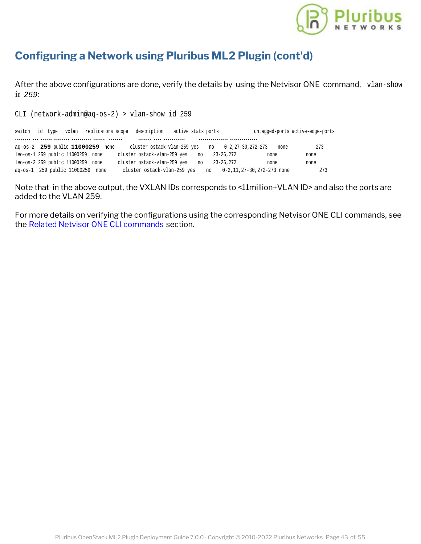

After the above configurations are done, verify the details by using the Netvisor ONE command, vlan-show id *259*:

CLI (network-admin@aq-os-2) > vlan-show id 259

| switch |  |                                   |                                  | id type vxlan replicators scope description          | active stats ports |       |           |                              |      | untagged-ports active-edge-ports |
|--------|--|-----------------------------------|----------------------------------|------------------------------------------------------|--------------------|-------|-----------|------------------------------|------|----------------------------------|
|        |  |                                   |                                  |                                                      |                    |       |           |                              |      |                                  |
|        |  |                                   | aq-os-2 259 public 11000259 none | cluster ostack-vlan-259 yes no $0-2, 27-30, 272-273$ |                    |       |           |                              | none | 273                              |
|        |  | leo-os-1 259 public 11000259 none |                                  | cluster ostack-vlan-259 yes no                       |                    |       | 23-26,272 | none                         |      | none                             |
|        |  | leo-os-2 259 public 11000259 none |                                  | cluster ostack-vlan-259 yes                          |                    | no no | 23-26.272 | none                         |      | none                             |
|        |  | aq-os-1 259 public 11000259 none  |                                  | cluster ostack-vlan-259 yes                          |                    |       |           | no 0-2,11,27-30,272-273 none |      | 273                              |

Note that in the above output, the VXLAN IDs corresponds to <11 million+VLAN ID> and also the ports are added to the VLAN 259.

For more details on verifying the configurations using the corresponding Netvisor ONE CLI commands, see the [Related Netvisor ONE CLI commands](#page-47-0) section.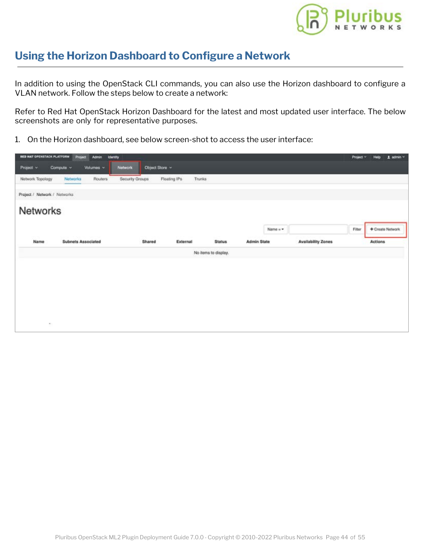

### <span id="page-41-0"></span>**Using the Horizon Dashboard to Configure a Network**

In addition to using the OpenStack CLI commands, you can also use the Horizon dashboard to configure a VLAN network. Follow the steps below to create a network:

Refer to Red Hat OpenStack Horizon Dashboard for the latest and most updated user interface. The below screenshots are only for representative purposes.

1. On the Horizon dashboard, see below screen-shot to access the user interface:

| RED HAT OPENSTACK PLATFORM   | Project<br><b>Admin</b>   | <b>Identity</b>             |                        |                     |                  |                           | Project v | $1$ admin $\sim$<br>Help |
|------------------------------|---------------------------|-----------------------------|------------------------|---------------------|------------------|---------------------------|-----------|--------------------------|
| Project v                    | Compute v<br>Volumes ~    | Notwork:<br>Cibject Store ~ |                        |                     |                  |                           |           |                          |
| Network Topology             | Routers<br>Notworks       | Security Groups             | Floating IPs<br>Trunks |                     |                  |                           |           |                          |
| Project / Network / Networks |                           |                             |                        |                     |                  |                           |           |                          |
| <b>Networks</b>              |                           |                             |                        |                     |                  |                           |           |                          |
|                              |                           |                             |                        |                     | Name $=$ $\star$ |                           | Fiter     | + Create Network         |
| Name                         | <b>Subnets Associated</b> | Shared                      | External               | <b>Status</b>       | Admin State      | <b>Availability Zones</b> |           | Actions                  |
|                              |                           |                             |                        | No hems to display. |                  |                           |           |                          |
|                              |                           |                             |                        |                     |                  |                           |           |                          |
|                              |                           |                             |                        |                     |                  |                           |           |                          |
|                              |                           |                             |                        |                     |                  |                           |           |                          |
|                              |                           |                             |                        |                     |                  |                           |           |                          |
|                              |                           |                             |                        |                     |                  |                           |           |                          |
| $\lambda$                    |                           |                             |                        |                     |                  |                           |           |                          |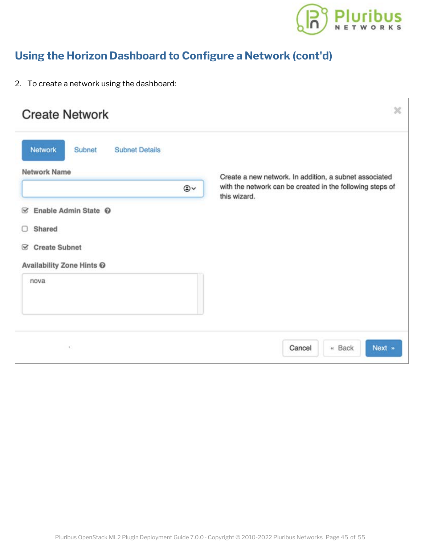

# **Using the Horizon Dashboard to Configure a Network [\(cont'd\)](https://www.pluribusnetworks.com)**

2. To create a network using the dashboard:

| <b>Create Network</b>                                                                                                 | ×                                                                                                                   |
|-----------------------------------------------------------------------------------------------------------------------|---------------------------------------------------------------------------------------------------------------------|
| Network<br>Subnet<br><b>Subnet Details</b><br><b>Network Name</b><br>$\circledcirc$                                   | Create a new network. In addition, a subnet associated<br>with the network can be created in the following steps of |
| Enable Admin State <sup>©</sup><br>☞<br>Shared<br>Ω<br><b>Create Subnet</b><br>⊗<br>Availability Zone Hints @<br>nova | this wizard.                                                                                                        |
| ٠,                                                                                                                    | Next »<br>Cancel<br>« Back                                                                                          |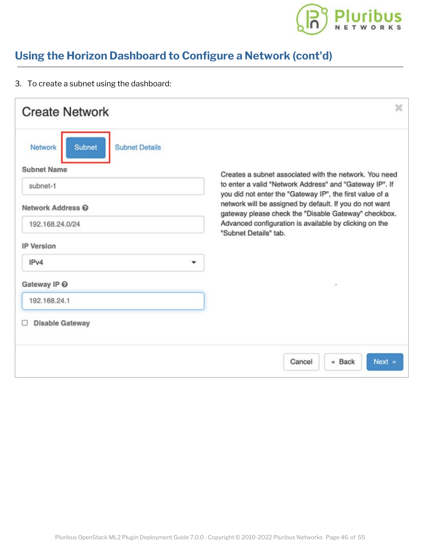

# **Using the Horizon Dashboard to Configure a Network [\(cont'd\)](https://www.pluribusnetworks.com)**

3. To create a subnet using the dashboard:

| <b>Create Network</b>                                                                                                                                                                                                     | ×                                                                                                                                                                                                                                                                                                                                                                                   |
|---------------------------------------------------------------------------------------------------------------------------------------------------------------------------------------------------------------------------|-------------------------------------------------------------------------------------------------------------------------------------------------------------------------------------------------------------------------------------------------------------------------------------------------------------------------------------------------------------------------------------|
| <b>Network</b><br><b>Subnet</b><br><b>Subnet Details</b><br><b>Subnet Name</b><br>subnet-1<br>Network Address @<br>192.168.24.0/24<br><b>IP Version</b><br>IPv4<br>Gateway IP @<br>192.168.24.1<br><b>Disable Gateway</b> | Creates a subnet associated with the network. You need<br>to enter a valid "Network Address" and "Gateway IP". If<br>you did not enter the "Gateway IP", the first value of a<br>network will be assigned by default. If you do not want<br>gateway please check the "Disable Gateway" checkbox.<br>Advanced configuration is available by clicking on the<br>"Subnet Details" tab. |
|                                                                                                                                                                                                                           | Next »<br>« Back<br>Cancel                                                                                                                                                                                                                                                                                                                                                          |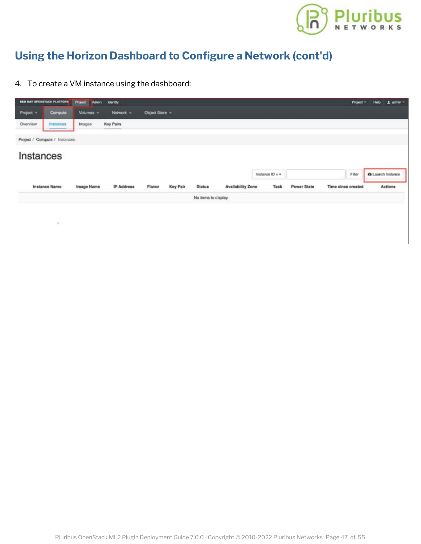

# **Using the Horizon Dashboard to Configure a Network [\(cont'd\)](https://www.pluribusnetworks.com)**

4. To create a VM instance using the dashboard:

|           | <b>RED HAT OPENSTACK PLATFORM</b> | Project Admin | <b>Identity</b> |                |          |                      |                          |                 |             | Project v          | Help | $1$ admin $-$     |
|-----------|-----------------------------------|---------------|-----------------|----------------|----------|----------------------|--------------------------|-----------------|-------------|--------------------|------|-------------------|
| Project v | Compute                           | Volumes ~     | Notwork v       | Object Store ~ |          |                      |                          |                 |             |                    |      |                   |
| Overview  | Instances                         | Images        | Key Pairs       |                |          |                      |                          |                 |             |                    |      |                   |
|           | Project / Compute / Instances     |               |                 |                |          |                      |                          |                 |             |                    |      |                   |
|           | Instances                         |               |                 |                |          |                      |                          |                 |             |                    |      |                   |
|           |                                   |               |                 |                |          |                      |                          | Instance ID = + |             | Fitter             |      | A Launch Instance |
|           |                                   |               |                 |                |          |                      |                          |                 |             |                    |      |                   |
|           | Instance Name                     | Image Name    | IP Address      | Flavor         | Key Pair | <b>Status</b>        | <b>Availability Zone</b> | Task            | Power State | Time since created |      | Actions           |
|           |                                   |               |                 |                |          | No items to display. |                          |                 |             |                    |      |                   |
|           |                                   |               |                 |                |          |                      |                          |                 |             |                    |      |                   |
|           |                                   |               |                 |                |          |                      |                          |                 |             |                    |      |                   |
|           | 36                                |               |                 |                |          |                      |                          |                 |             |                    |      |                   |
|           |                                   |               |                 |                |          |                      |                          |                 |             |                    |      |                   |
|           |                                   |               |                 |                |          |                      |                          |                 |             |                    |      |                   |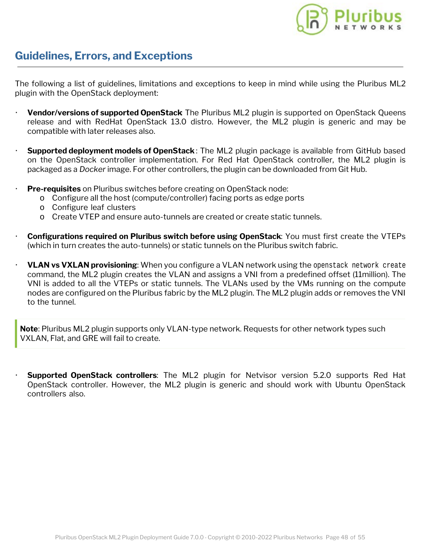

### <span id="page-45-0"></span>**Guidelines, Errors, and Exceptions**

The following a list of guidelines, limitations and exceptions to keep in mind while using the Pluribus ML2 plugin with the OpenStack deployment:

- **Vendor/versions of supported OpenStack**: The Pluribus ML2 plugin is supported on OpenStack Queens release and with RedHat OpenStack 13.0 distro. However, the ML2 plugin is generic and may be compatible with later releases also.
- **Supported deployment models of OpenStack**: The ML2 plugin package is available from GitHub based on the OpenStack controller implementation. For Red Hat OpenStack controller, the ML2 plugin is packaged as a *Docker* image. For other controllers, the plugin can be downloaded from Git Hub.
- **Pre-requisites** on Pluribus switches before creating on OpenStack node:
	- o Configure all the host (compute/controller) facing ports as edge ports
	- o Configure leaf clusters
	- o Create VTEP and ensure auto-tunnels are created or create static tunnels.
- · **Configurations required on Pluribus switch before using OpenStack**: You must first create the VTEPs (which in turn creates the auto-tunnels) or static tunnels on the Pluribus switch fabric.
- · **VLAN vs VXLAN provisioning**: When you configure a VLAN network using the openstack network create command, the ML2 plugin creates the VLAN and assigns a VNI from a predefined offset (11million). The VNI is added to all the VTEPs or static tunnels. The VLANs used by the VMs running on the compute nodes are configured on the Pluribus fabric by the ML2 plugin. The ML2 plugin adds or removes the VNI to the tunnel.

**Note**: Pluribus ML2 plugin supports only VLAN-type network. Requests for other network types such VXLAN, Flat, and GRE will fail to create.

**Supported OpenStack controllers:** The ML2 plugin for Netvisor version 5.2.0 supports Red Hat OpenStack controller. However, the ML2 plugin is generic and should work with Ubuntu OpenStack controllers also.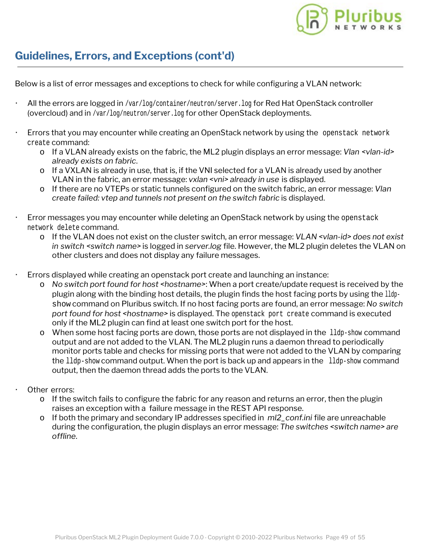

### **Guidelines, Errors, and Exceptions (cont'd)**

Below is a list of error messages and exceptions to check for while configuring a VLAN network:

- All the errors are logged in /var/log/container/neutron/server.log for Red Hat OpenStack controller (overcloud) and in /var/log/neutron/server.log for other OpenStack deployments.
- Errors that you may encounter while creating an OpenStack network by using the openstack network create command:
	- o If a VLAN already exists on the fabric, the ML2 plugin displays an error message: *Vlan <vlan-id> already exists on fabric*.
	- o If a VXLAN is already in use, that is, if the VNI selected for a VLAN is already used by another VLAN in the fabric, an error message: *vxlan <vni> already in use* is displayed.
	- o If there are no VTEPs or static tunnels configured on the switch fabric, an error message: *Vlan create failed: vtep and tunnels not present on the switch fabric* is displayed.
- · Error messages you may encounter while deleting an OpenStack network by using the openstack network delete command.
	- o If the VLAN does not exist on the cluster switch, an error message: *VLAN <vlan-id> does not exist in switch <switch name>* is logged in *server.log* file. However, the ML2 plugin deletes the VLAN on other clusters and does not display any failure messages.
- · Errors displayed while creating an openstack port create and launching an instance:
	- o *No switch port found for host <hostname>*: When a port create/update request is received by the plugin along with the binding host details, the plugin finds the host facing ports by using the lldpshow command on Pluribus switch. If no host facing ports are found, an error message: *No switch port found for host <hostname>* is displayed. The openstack port create command is executed only if the ML2 plugin can find at least one switch port for the host.
	- o When some host facing ports are down, those ports are not displayed in the lldp-show command output and are not added to the VLAN. The ML2 plugin runs a daemon thread to periodically monitor ports table and checks for missing ports that were not added to the VLAN by comparing the lldp-show command output. When the port is back up and appears in the lldp-show command output, then the daemon thread adds the ports to the VLAN.
	- Other errors:
		- o If the switch fails to configure the fabric for any reason and returns an error, then the plugin raises an exception with a failure message in the REST API response.
		- o If both the primary and secondary IP addresses specified in *ml2\_conf.ini* file are unreachable during the configuration, the plugin displays an error message: *The switches <switch name> are offline*.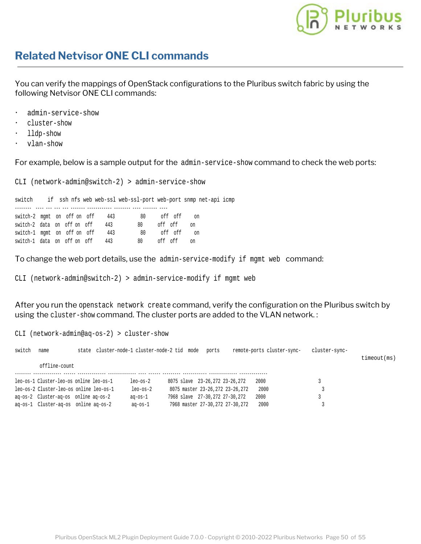

### <span id="page-47-0"></span>**Related Netvisor ONE CLI commands**

You can verify the mappings of OpenStack configurations to the Pluribus switch fabric by using the following Netvisor ONE CLI commands:

- admin-service-show
- · cluster-show
- · lldp-show
- · vlan-show

For example, below is a sample output for the admin-service-show command to check the web ports:

CLI (network-admin@switch-2) > admin-service-show

switch-1 data on off on off 443 80 off off on

switch if ssh nfs web web-ssl web-ssl-port web-port snmp net-api icmp -------- ---- --- --- --- ------- ------------ -------- ---- ------- --- switch-2 mgmt on off on off 443 80 off off on switch-2 data on off on off 443 80 off off on switch-2 data on off on off 443 80 off off on switch-1 mgmt on off on off 443 80 off off on

To change the web port details, use the admin-service-modify if mgmt web command:

CLI (network-admin@switch-2) > admin-service-modify if mgmt web

After you run the openstack network create command, verify the configuration on the Pluribus switch by using the cluster-show command. The cluster ports are added to the VLAN network. :

| $CLI$ (network-admin@aq-os-2) > cluster-show |                                         |                                              |               |                                   |       |  |                            |               |             |
|----------------------------------------------|-----------------------------------------|----------------------------------------------|---------------|-----------------------------------|-------|--|----------------------------|---------------|-------------|
| switch                                       | name                                    | state cluster-node-1 cluster-node-2 tid mode |               |                                   | ports |  | remote-ports cluster-sync- | cluster-sync- | timeout(ms) |
|                                              | offline-count                           |                                              |               |                                   |       |  |                            |               |             |
|                                              | leo-os-1 Cluster-leo-os online leo-os-1 |                                              | leo-os-2      | 8075 slave 23-26.272 23-26.272    |       |  | 2000                       |               |             |
|                                              |                                         | leo-os-2 Cluster-leo-os online leo-os-1      | leo-os-2      | 8075 master 23-26, 272 23-26, 272 |       |  | 2000                       |               |             |
|                                              | ag-os-2 Cluster-ag-os online ag-os-2    |                                              | ag-os-1       | 7968 slave 27-30.272 27-30.272    |       |  | 2000                       |               |             |
|                                              | ag-os-1 Cluster-ag-os online ag-os-2    |                                              | $aq$ -os- $1$ | 7968 master 27-30.272 27-30.272   |       |  | 2000                       |               |             |

Pluribus OpenStack ML2 Plugin Deployment Guide 7.0.0 - Copyright © 2010-2022 Pluribus Networks Page 50 of 55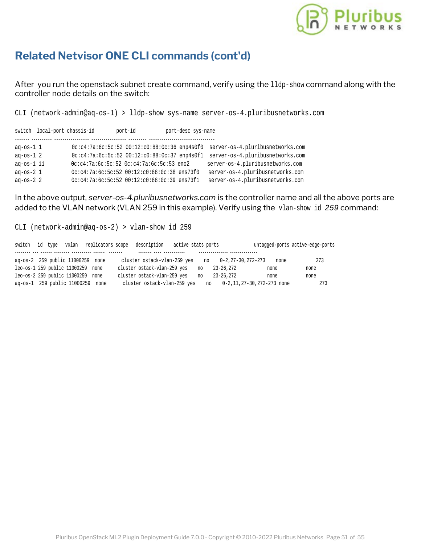

### **Related Netvisor ONE CLI commands (cont'd)**

After you run the openstack subnet create command, verify using the 11dp-show command along with the controller node details on the switch:

CLI (network-admin@aq-os-1) > lldp-show sys-name server-os-4.pluribusnetworks.com

|                    | switch local-port chassis-id | port-id                                            | port-desc sys-name |                                  |
|--------------------|------------------------------|----------------------------------------------------|--------------------|----------------------------------|
| aq-os-1 1          |                              | $0c: c4:7a:6c:5c:52$ $00:12: c0:88:0c:36$ enp4s0f0 |                    | server-os-4.pluribusnetworks.com |
| $aq$ -os-1 $2$     |                              | 0c:c4:7a:6c:5c:52 00:12:c0:88:0c:37 enp4s0f1       |                    | server-os-4.pluribusnetworks.com |
| $aq$ -os- $1$ $11$ |                              | $0c: c4:7a:6c:5c:52$ $0c: c4:7a:6c:5c:53$ eno2     |                    | server-os-4.pluribusnetworks.com |
| ag-os- $21$        |                              | 0c:c4:7a:6c:5c:52 00:12:c0:88:0c:38 ens73f0        |                    | server-os-4.pluribusnetworks.com |
| ag-os- $22$        |                              | 0c:c4:7a:6c:5c:52 00:12:c0:88:0c:39 ens73f1        |                    | server-os-4.pluribusnetworks.com |

In the above output, *server-os-4.pluribusnetworks.com* is the controller name and all the above ports are added to the VLAN network (VLAN 259 in this example). Verify using the vlan-show id *259* command:

CLI (network-admin@aq-os-2) > vlan-show id 259

|                                   |  |  | switch id type vxlan replicators scope description   | active stats ports |    |           |                              |      | untagged-ports active-edge-ports |
|-----------------------------------|--|--|------------------------------------------------------|--------------------|----|-----------|------------------------------|------|----------------------------------|
|                                   |  |  |                                                      |                    |    |           |                              |      |                                  |
| ag-os-2 259 public 11000259 none  |  |  | cluster ostack-vlan-259 yes no $0-2, 27-30, 272-273$ |                    |    |           |                              | none | 273                              |
| leo-os-1 259 public 11000259 none |  |  | cluster ostack-vlan-259 yes                          |                    | no | 23-26.272 |                              | none | none                             |
| leo-os-2 259 public 11000259 none |  |  | cluster ostack-vlan-259 yes                          |                    | no | 23-26,272 |                              | none | none                             |
| aq-os-1 259 public 11000259 none  |  |  | cluster ostack-vlan-259 yes                          |                    |    |           | no 0-2.11.27-30.272-273 none |      | 273                              |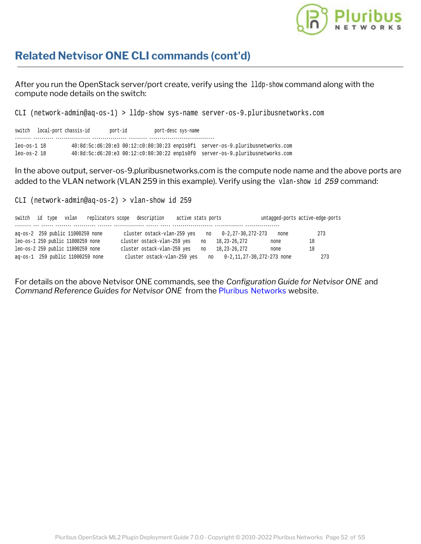

### **Related Netvisor ONE CLI commands (cont'd)**

After you run the OpenStack server/port create, verify using the lldp-show command along with the compute node details on the switch:

CLI (network-admin@aq-os-1) > lldp-show sys-name server-os-9.pluribusnetworks.com

switch local-port chassis-id port-id port-desc sys-name -------- ---------- ----------------- ----------------- --------- ------------------------------- leo-os-1 18 40:8d:5c:d6:20:e3 00:12:c0:80:30:23 enp1s0f1 server-os-9.pluribusnetworks.com leo-os-2 18 40:8d:5c:d6:20:e3 00:12:c0:80:30:22 enp1s0f0 server-os-9.pluribusnetworks.com

In the above output, server-os-9.pluribusnetworks.com is the compute node name and the above ports are added to the VLAN network (VLAN 259 in this example). Verify using the vlan-show id *259* command:

CLI (network-admin@aq-os-2) > vlan-show id 259

| switch id type                    |  | vxlan |  | replicators scope description | active stats ports |    |                                 |      | untagged-ports active-edge-ports |
|-----------------------------------|--|-------|--|-------------------------------|--------------------|----|---------------------------------|------|----------------------------------|
| ag-os-2 259 public 11000259 none  |  |       |  | cluster ostack-vlan-259 yes   |                    | no | 0-2,27-30,272-273               | none | 273                              |
| leo-os-1 259 public 11000259 none |  |       |  | cluster ostack-vlan-259 yes   |                    | no | 18, 23 – 26, 272                | none | 18                               |
| leo-os-2 259 public 11000259 none |  |       |  | cluster ostack-vlan-259 yes   |                    | no | 18, 23 - 26, 272                | none | 18                               |
| ag-os-1 259 public 11000259 none  |  |       |  | cluster ostack-vlan-259 yes   |                    |    | no 0-2, 11, 27-30, 272-273 none |      | 273                              |

For details on the above Netvisor ONE commands, see the *Configuration Guide for Netvisor ONE* and *Command Reference Guides for Netvisor ONE* from the [Pluribus Networks](https://www.pluribusnetworks.com/support/technical-documentation/) website.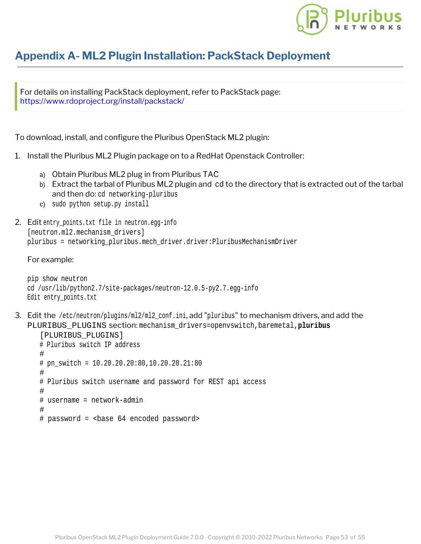

### <span id="page-50-0"></span>**Appendix A- ML2 Plugin Installation: PackStack Depl[oyment](https://www.pluribusnetworks.com)**

For details on installing PackStack deployment, refer to PackStack page: <https://www.rdoproject.org/install/packstack/>

To download, install, and configure the Pluribus OpenStack ML2 plugin:

- 1. Install the Pluribus ML2 Plugin package on to a RedHat Openstack Controller:
	- a) Obtain Pluribus ML2 plug in from Pluribus TAC
	- b) Extract the tarbal of Pluribus ML2 plugin and cd to the directory that is extracted out of the tarbal and then do: cd networking-pluribus
	- c) sudo python setup.py install
- 2. Edit entry\_points.txt file in neutron.egg-info [neutron.ml2.mechanism\_drivers] pluribus = networking\_pluribus.mech\_driver.driver:PluribusMechanismDriver

#### For example:

```
pip show neutron
cd /usr/lib/python2.7/site-packages/neutron-12.0.5-py2.7.egg-info
Edit entry_points.txt
```
3. Edit the /etc/neutron/plugins/ml2/ml2\_conf.ini, add "pluribus" to mechanism drivers, and add the PLURIBUS\_PLUGINS section: mechanism\_drivers=openvswitch,baremetal,**pluribus**

```
[PLURIBUS_PLUGINS]
# Pluribus switch IP address
#
# pn_switch = 10.20.20.20:80,10.20.20.21:80#
# Pluribus switch username and password for REST api access
#
# username = network-admin
#
# password = <br >>base 64 encoded password>
```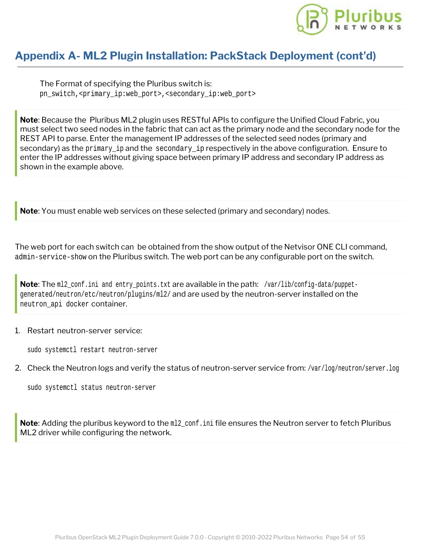

### **Appendix A- ML2 Plugin Installation: PackStack Dep[loyment \(cont'd\)](https://www.pluribusnetworks.com)**

The Format of specifying the Pluribus switch is: pn\_switch,<primary\_ip:web\_port>,<secondary\_ip:web\_port>

**Note**: Because the Pluribus ML2 plugin uses RESTful APIs to configure the Unified Cloud Fabric, you must select two seed nodes in the fabric that can act as the primary node and the secondary node for the REST API to parse. Enter the management IP addresses of the selected seed nodes (primary and secondary) as the primary ip and the secondary ip respectively in the above configuration. Ensure to enter the IP addresses without giving space between primary IP address and secondary IP address as shown in the example above.

**Note**: You must enable web services on these selected (primary and secondary) nodes.

The web port for each switch can be obtained from the show output of the Netvisor ONE CLI command, admin-service-show on the Pluribus switch. The web port can be any configurable port on the switch.

**Note**: The m12\_conf.ini and entry\_points.txt are available in the path: /var/lib/config-data/puppetgenerated/neutron/etc/neutron/plugins/ml2/ and are used by the neutron-server installed on the neutron\_api docker container.

#### 1. Restart neutron-server service:

sudo systemctl restart neutron-server

2. Check the Neutron logs and verify the status of neutron-server service from: /var/log/neutron/server.log

sudo systemctl status neutron-server

**Note**: Adding the pluribus keyword to the m12 conf. ini file ensures the Neutron server to fetch Pluribus ML2 driver while configuring the network.